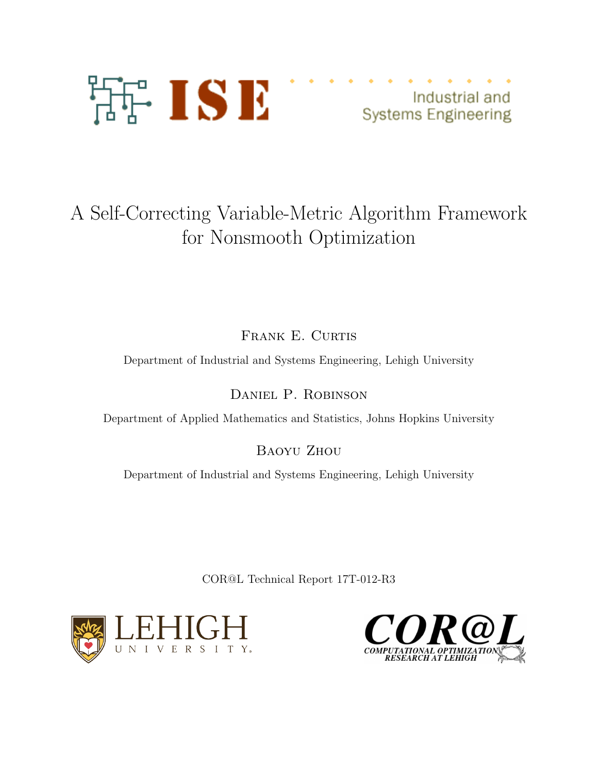

Industrial and **Systems Engineering** 

# A Self-Correcting Variable-Metric Algorithm Framework for Nonsmooth Optimization

FRANK E. CURTIS

Department of Industrial and Systems Engineering, Lehigh University

Daniel P. Robinson

Department of Applied Mathematics and Statistics, Johns Hopkins University

Baoyu Zhou

Department of Industrial and Systems Engineering, Lehigh University

COR@L Technical Report 17T-012-R3



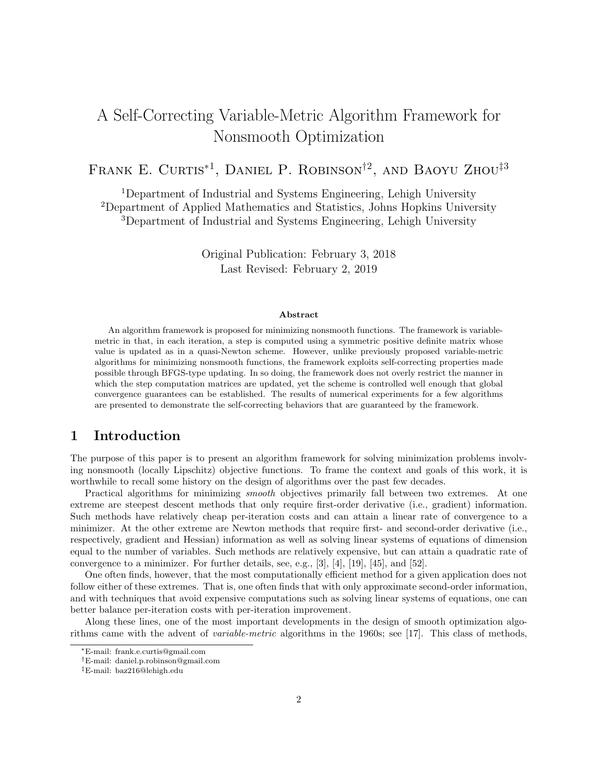## A Self-Correcting Variable-Metric Algorithm Framework for Nonsmooth Optimization

## Frank E. Curtis<sup>∗</sup><sup>1</sup> , Daniel P. Robinson†<sup>2</sup> , and Baoyu Zhou‡<sup>3</sup>

<sup>1</sup>Department of Industrial and Systems Engineering, Lehigh University <sup>2</sup>Department of Applied Mathematics and Statistics, Johns Hopkins University <sup>3</sup>Department of Industrial and Systems Engineering, Lehigh University

> Original Publication: February 3, 2018 Last Revised: February 2, 2019

#### Abstract

An algorithm framework is proposed for minimizing nonsmooth functions. The framework is variablemetric in that, in each iteration, a step is computed using a symmetric positive definite matrix whose value is updated as in a quasi-Newton scheme. However, unlike previously proposed variable-metric algorithms for minimizing nonsmooth functions, the framework exploits self-correcting properties made possible through BFGS-type updating. In so doing, the framework does not overly restrict the manner in which the step computation matrices are updated, yet the scheme is controlled well enough that global convergence guarantees can be established. The results of numerical experiments for a few algorithms are presented to demonstrate the self-correcting behaviors that are guaranteed by the framework.

## 1 Introduction

The purpose of this paper is to present an algorithm framework for solving minimization problems involving nonsmooth (locally Lipschitz) objective functions. To frame the context and goals of this work, it is worthwhile to recall some history on the design of algorithms over the past few decades.

Practical algorithms for minimizing *smooth* objectives primarily fall between two extremes. At one extreme are steepest descent methods that only require first-order derivative (i.e., gradient) information. Such methods have relatively cheap per-iteration costs and can attain a linear rate of convergence to a minimizer. At the other extreme are Newton methods that require first- and second-order derivative (i.e., respectively, gradient and Hessian) information as well as solving linear systems of equations of dimension equal to the number of variables. Such methods are relatively expensive, but can attain a quadratic rate of convergence to a minimizer. For further details, see, e.g., [3], [4], [19], [45], and [52].

One often finds, however, that the most computationally efficient method for a given application does not follow either of these extremes. That is, one often finds that with only approximate second-order information, and with techniques that avoid expensive computations such as solving linear systems of equations, one can better balance per-iteration costs with per-iteration improvement.

Along these lines, one of the most important developments in the design of smooth optimization algorithms came with the advent of variable-metric algorithms in the 1960s; see [17]. This class of methods,

<sup>∗</sup>E-mail: frank.e.curtis@gmail.com

<sup>†</sup>E-mail: daniel.p.robinson@gmail.com

<sup>‡</sup>E-mail: baz216@lehigh.edu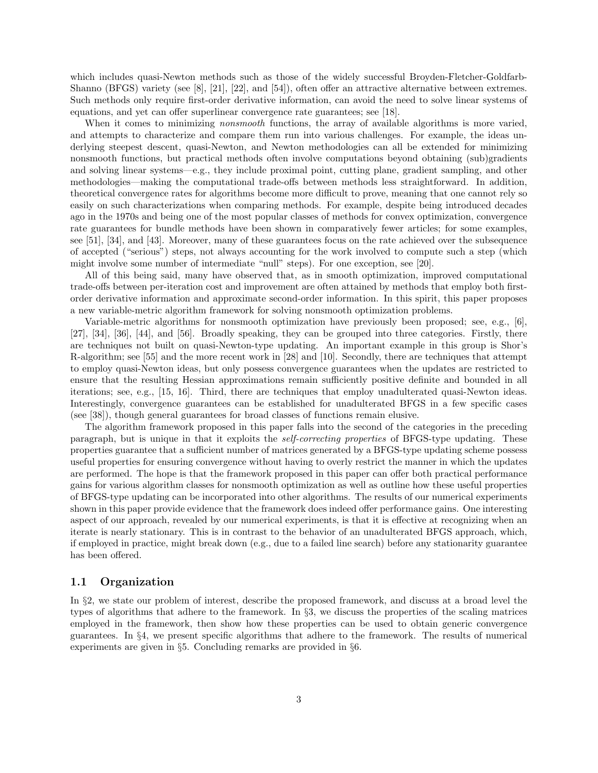which includes quasi-Newton methods such as those of the widely successful Broyden-Fletcher-Goldfarb-Shanno (BFGS) variety (see [8], [21], [22], and [54]), often offer an attractive alternative between extremes. Such methods only require first-order derivative information, can avoid the need to solve linear systems of equations, and yet can offer superlinear convergence rate guarantees; see [18].

When it comes to minimizing *nonsmooth* functions, the array of available algorithms is more varied, and attempts to characterize and compare them run into various challenges. For example, the ideas underlying steepest descent, quasi-Newton, and Newton methodologies can all be extended for minimizing nonsmooth functions, but practical methods often involve computations beyond obtaining (sub)gradients and solving linear systems—e.g., they include proximal point, cutting plane, gradient sampling, and other methodologies—making the computational trade-offs between methods less straightforward. In addition, theoretical convergence rates for algorithms become more difficult to prove, meaning that one cannot rely so easily on such characterizations when comparing methods. For example, despite being introduced decades ago in the 1970s and being one of the most popular classes of methods for convex optimization, convergence rate guarantees for bundle methods have been shown in comparatively fewer articles; for some examples, see [51], [34], and [43]. Moreover, many of these guarantees focus on the rate achieved over the subsequence of accepted ("serious") steps, not always accounting for the work involved to compute such a step (which might involve some number of intermediate "null" steps). For one exception, see [20].

All of this being said, many have observed that, as in smooth optimization, improved computational trade-offs between per-iteration cost and improvement are often attained by methods that employ both firstorder derivative information and approximate second-order information. In this spirit, this paper proposes a new variable-metric algorithm framework for solving nonsmooth optimization problems.

Variable-metric algorithms for nonsmooth optimization have previously been proposed; see, e.g., [6], [27], [34], [36], [44], and [56]. Broadly speaking, they can be grouped into three categories. Firstly, there are techniques not built on quasi-Newton-type updating. An important example in this group is Shor's R-algorithm; see [55] and the more recent work in [28] and [10]. Secondly, there are techniques that attempt to employ quasi-Newton ideas, but only possess convergence guarantees when the updates are restricted to ensure that the resulting Hessian approximations remain sufficiently positive definite and bounded in all iterations; see, e.g., [15, 16]. Third, there are techniques that employ unadulterated quasi-Newton ideas. Interestingly, convergence guarantees can be established for unadulterated BFGS in a few specific cases (see [38]), though general guarantees for broad classes of functions remain elusive.

The algorithm framework proposed in this paper falls into the second of the categories in the preceding paragraph, but is unique in that it exploits the *self-correcting properties* of BFGS-type updating. These properties guarantee that a sufficient number of matrices generated by a BFGS-type updating scheme possess useful properties for ensuring convergence without having to overly restrict the manner in which the updates are performed. The hope is that the framework proposed in this paper can offer both practical performance gains for various algorithm classes for nonsmooth optimization as well as outline how these useful properties of BFGS-type updating can be incorporated into other algorithms. The results of our numerical experiments shown in this paper provide evidence that the framework does indeed offer performance gains. One interesting aspect of our approach, revealed by our numerical experiments, is that it is effective at recognizing when an iterate is nearly stationary. This is in contrast to the behavior of an unadulterated BFGS approach, which, if employed in practice, might break down (e.g., due to a failed line search) before any stationarity guarantee has been offered.

#### 1.1 Organization

In §2, we state our problem of interest, describe the proposed framework, and discuss at a broad level the types of algorithms that adhere to the framework. In §3, we discuss the properties of the scaling matrices employed in the framework, then show how these properties can be used to obtain generic convergence guarantees. In §4, we present specific algorithms that adhere to the framework. The results of numerical experiments are given in §5. Concluding remarks are provided in §6.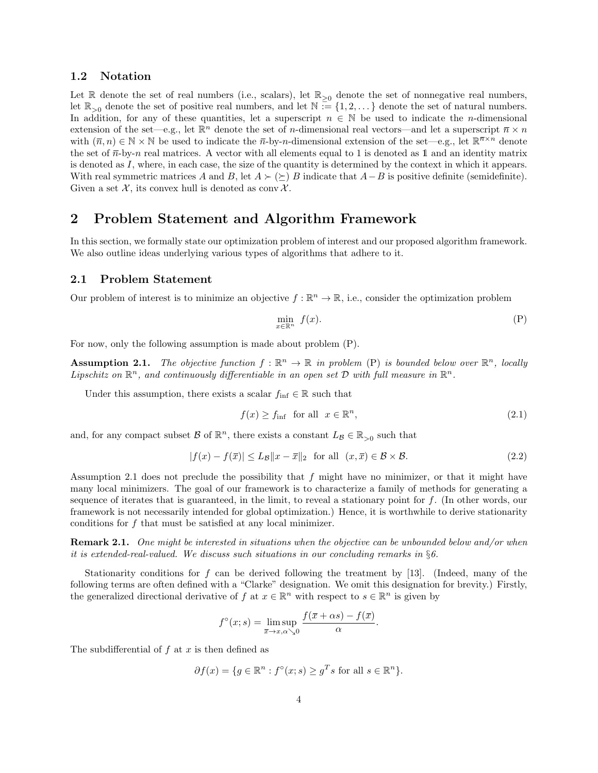#### 1.2 Notation

Let R denote the set of real numbers (i.e., scalars), let  $\mathbb{R}_{\geq 0}$  denote the set of nonnegative real numbers, let  $\mathbb{R}_{>0}$  denote the set of positive real numbers, and let  $\mathbb{N} \equiv \{1, 2, \dots\}$  denote the set of natural numbers. In addition, for any of these quantities, let a superscript  $n \in \mathbb{N}$  be used to indicate the *n*-dimensional extension of the set—e.g., let  $\mathbb{R}^n$  denote the set of *n*-dimensional real vectors—and let a superscript  $\bar{n} \times n$ with  $(\bar{n}, n) \in \mathbb{N} \times \mathbb{N}$  be used to indicate the  $\bar{n}$ -by-n-dimensional extension of the set—e.g., let  $\mathbb{R}^{\bar{n} \times n}$  denote the set of  $\bar{n}$ -by-n real matrices. A vector with all elements equal to 1 is denoted as 1 and an identity matrix is denoted as I, where, in each case, the size of the quantity is determined by the context in which it appears. With real symmetric matrices A and B, let  $A \succ (\succeq) B$  indicate that  $A - B$  is positive definite (semidefinite). Given a set  $\mathcal{X}$ , its convex hull is denoted as conv $\mathcal{X}$ .

## 2 Problem Statement and Algorithm Framework

In this section, we formally state our optimization problem of interest and our proposed algorithm framework. We also outline ideas underlying various types of algorithms that adhere to it.

#### 2.1 Problem Statement

Our problem of interest is to minimize an objective  $f : \mathbb{R}^n \to \mathbb{R}$ , i.e., consider the optimization problem

$$
\min_{x \in \mathbb{R}^n} f(x). \tag{P}
$$

For now, only the following assumption is made about problem (P).

**Assumption 2.1.** The objective function  $f : \mathbb{R}^n \to \mathbb{R}$  in problem (P) is bounded below over  $\mathbb{R}^n$ , locally Lipschitz on  $\mathbb{R}^n$ , and continuously differentiable in an open set  $\mathcal D$  with full measure in  $\mathbb{R}^n$ .

Under this assumption, there exists a scalar  $f_{\text{inf}} \in \mathbb{R}$  such that

$$
f(x) \ge f_{\text{inf}} \quad \text{for all} \quad x \in \mathbb{R}^n,\tag{2.1}
$$

and, for any compact subset  $\mathcal{B}$  of  $\mathbb{R}^n$ , there exists a constant  $L_{\mathcal{B}} \in \mathbb{R}_{>0}$  such that

$$
|f(x) - f(\overline{x})| \le L_{\mathcal{B}} \|x - \overline{x}\|_2 \quad \text{for all} \quad (x, \overline{x}) \in \mathcal{B} \times \mathcal{B}.
$$
 (2.2)

Assumption 2.1 does not preclude the possibility that  $f$  might have no minimizer, or that it might have many local minimizers. The goal of our framework is to characterize a family of methods for generating a sequence of iterates that is guaranteed, in the limit, to reveal a stationary point for f. (In other words, our framework is not necessarily intended for global optimization.) Hence, it is worthwhile to derive stationarity conditions for f that must be satisfied at any local minimizer.

Remark 2.1. One might be interested in situations when the objective can be unbounded below and/or when it is extended-real-valued. We discuss such situations in our concluding remarks in  $\S6$ .

Stationarity conditions for f can be derived following the treatment by  $[13]$ . (Indeed, many of the following terms are often defined with a "Clarke" designation. We omit this designation for brevity.) Firstly, the generalized directional derivative of f at  $x \in \mathbb{R}^n$  with respect to  $s \in \mathbb{R}^n$  is given by

$$
f^{\circ}(x; s) = \limsup_{\overline{x} \to x, \alpha \searrow 0} \frac{f(\overline{x} + \alpha s) - f(\overline{x})}{\alpha}.
$$

The subdifferential of  $f$  at  $x$  is then defined as

$$
\partial f(x) = \{ g \in \mathbb{R}^n : f^{\circ}(x; s) \ge g^T s \text{ for all } s \in \mathbb{R}^n \}.
$$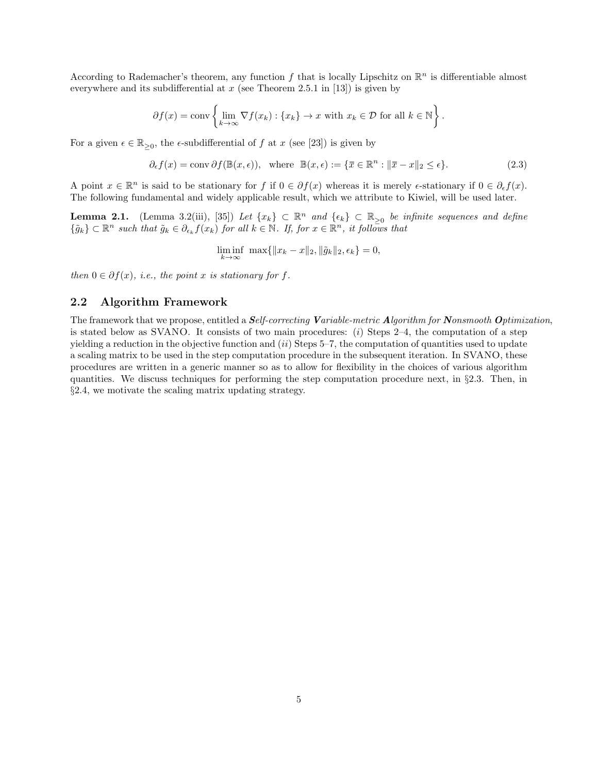According to Rademacher's theorem, any function  $f$  that is locally Lipschitz on  $\mathbb{R}^n$  is differentiable almost everywhere and its subdifferential at  $x$  (see Theorem 2.5.1 in [13]) is given by

$$
\partial f(x) = \text{conv}\left\{\lim_{k \to \infty} \nabla f(x_k) : \{x_k\} \to x \text{ with } x_k \in \mathcal{D} \text{ for all } k \in \mathbb{N}\right\}.
$$

For a given  $\epsilon \in \mathbb{R}_{\geq 0}$ , the  $\epsilon$ -subdifferential of f at x (see [23]) is given by

$$
\partial_{\epsilon} f(x) = \text{conv}\,\partial f(\mathbb{B}(x,\epsilon)), \text{ where } \mathbb{B}(x,\epsilon) := \{\overline{x} \in \mathbb{R}^n : \|\overline{x} - x\|_2 \le \epsilon\}. \tag{2.3}
$$

A point  $x \in \mathbb{R}^n$  is said to be stationary for f if  $0 \in \partial f(x)$  whereas it is merely  $\epsilon$ -stationary if  $0 \in \partial_{\epsilon} f(x)$ . The following fundamental and widely applicable result, which we attribute to Kiwiel, will be used later.

**Lemma 2.1.** (Lemma 3.2(iii), [35]) Let  $\{x_k\} \subset \mathbb{R}^n$  and  $\{\epsilon_k\} \subset \mathbb{R}_{\geq 0}$  be infinite sequences and define  $\{\tilde{g}_k\} \subset \mathbb{R}^n$  such that  $\tilde{g}_k \in \partial_{\epsilon_k} f(x_k)$  for all  $k \in \mathbb{N}$ . If, for  $x \in \mathbb{R}^n$ , it follows that

$$
\liminf_{k \to \infty} \, \max\{\|x_k - x\|_2, \|\tilde{g}_k\|_2, \epsilon_k\} = 0,
$$

then  $0 \in \partial f(x)$ , i.e., the point x is stationary for f.

### 2.2 Algorithm Framework

The framework that we propose, entitled a Self-correcting Variable-metric Algorithm for Nonsmooth Optimization, is stated below as SVANO. It consists of two main procedures:  $(i)$  Steps 2–4, the computation of a step yielding a reduction in the objective function and  $(ii)$  Steps 5–7, the computation of quantities used to update a scaling matrix to be used in the step computation procedure in the subsequent iteration. In SVANO, these procedures are written in a generic manner so as to allow for flexibility in the choices of various algorithm quantities. We discuss techniques for performing the step computation procedure next, in §2.3. Then, in §2.4, we motivate the scaling matrix updating strategy.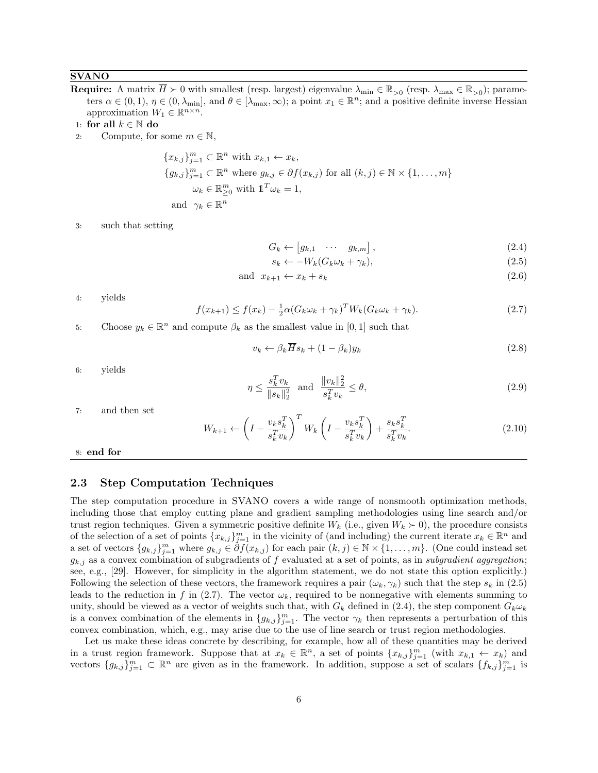#### **SVANO**

- **Require:** A matrix  $\overline{H} \succ 0$  with smallest (resp. largest) eigenvalue  $\lambda_{\min} \in \mathbb{R}_{>0}$  (resp.  $\lambda_{\max} \in \mathbb{R}_{>0}$ ); parameters  $\alpha \in (0,1)$ ,  $\eta \in (0,\lambda_{\min}]$ , and  $\theta \in [\lambda_{\max},\infty)$ ; a point  $x_1 \in \mathbb{R}^n$ ; and a positive definite inverse Hessian approximation  $W_1 \in \mathbb{R}^{n \times n}$ .
- 1: for all  $k \in \mathbb{N}$  do
- 2: Compute, for some  $m \in \mathbb{N}$ ,

$$
\{x_{k,j}\}_{j=1}^m \subset \mathbb{R}^n \text{ with } x_{k,1} \leftarrow x_k,
$$
  
\n
$$
\{g_{k,j}\}_{j=1}^m \subset \mathbb{R}^n \text{ where } g_{k,j} \in \partial f(x_{k,j}) \text{ for all } (k,j) \in \mathbb{N} \times \{1,\ldots,m\}
$$
  
\n
$$
\omega_k \in \mathbb{R}_{\geq 0}^m \text{ with } \mathbb{1}^T \omega_k = 1,
$$
  
\nand  $\gamma_k \in \mathbb{R}^n$ 

3: such that setting

$$
G_k \leftarrow \begin{bmatrix} g_{k,1} & \cdots & g_{k,m} \end{bmatrix},\tag{2.4}
$$

$$
s_k \leftarrow -W_k(G_k \omega_k + \gamma_k),\tag{2.5}
$$

$$
and x_{k+1} \leftarrow x_k + s_k \tag{2.6}
$$

4: yields

$$
f(x_{k+1}) \le f(x_k) - \frac{1}{2}\alpha (G_k \omega_k + \gamma_k)^T W_k (G_k \omega_k + \gamma_k). \tag{2.7}
$$

5: Choose  $y_k \in \mathbb{R}^n$  and compute  $\beta_k$  as the smallest value in [0, 1] such that

$$
v_k \leftarrow \beta_k \overline{H} s_k + (1 - \beta_k) y_k \tag{2.8}
$$

6: yields

$$
\eta \le \frac{s_k^T v_k}{\|s_k\|_2^2} \quad \text{and} \quad \frac{\|v_k\|_2^2}{s_k^T v_k} \le \theta,\tag{2.9}
$$

7: and then set

$$
W_{k+1} \leftarrow \left(I - \frac{v_k s_k^T}{s_k^T v_k}\right)^T W_k \left(I - \frac{v_k s_k^T}{s_k^T v_k}\right) + \frac{s_k s_k^T}{s_k^T v_k}.
$$
\n(2.10)

8: end for

#### 2.3 Step Computation Techniques

The step computation procedure in SVANO covers a wide range of nonsmooth optimization methods, including those that employ cutting plane and gradient sampling methodologies using line search and/or trust region techniques. Given a symmetric positive definite  $W_k$  (i.e., given  $W_k \succ 0$ ), the procedure consists of the selection of a set of points  ${x_{k,j}}_{j=1}^m$  in the vicinity of (and including) the current iterate  $x_k \in \mathbb{R}^n$  and a set of vectors  $\{g_{k,j}\}_{j=1}^m$  where  $g_{k,j} \in \partial f(x_{k,j})$  for each pair  $(k,j) \in \mathbb{N} \times \{1,\ldots,m\}$ . (One could instead set  $g_{k,j}$  as a convex combination of subgradients of f evaluated at a set of points, as in subgradient aggregation; see, e.g., [29]. However, for simplicity in the algorithm statement, we do not state this option explicitly.) Following the selection of these vectors, the framework requires a pair  $(\omega_k, \gamma_k)$  such that the step  $s_k$  in (2.5) leads to the reduction in f in (2.7). The vector  $\omega_k$ , required to be nonnegative with elements summing to unity, should be viewed as a vector of weights such that, with  $G_k$  defined in (2.4), the step component  $G_k\omega_k$ is a convex combination of the elements in  ${g_{k,j}}_{j=1}^m$ . The vector  $\gamma_k$  then represents a perturbation of this convex combination, which, e.g., may arise due to the use of line search or trust region methodologies.

Let us make these ideas concrete by describing, for example, how all of these quantities may be derived in a trust region framework. Suppose that at  $x_k \in \mathbb{R}^n$ , a set of points  $\{x_{k,j}\}_{j=1}^m$  (with  $x_{k,1} \leftarrow x_k$ ) and vectors  $\{g_{k,j}\}_{j=1}^m\subset\mathbb{R}^n$  are given as in the framework. In addition, suppose a set of scalars  $\{f_{k,j}\}_{j=1}^m$  is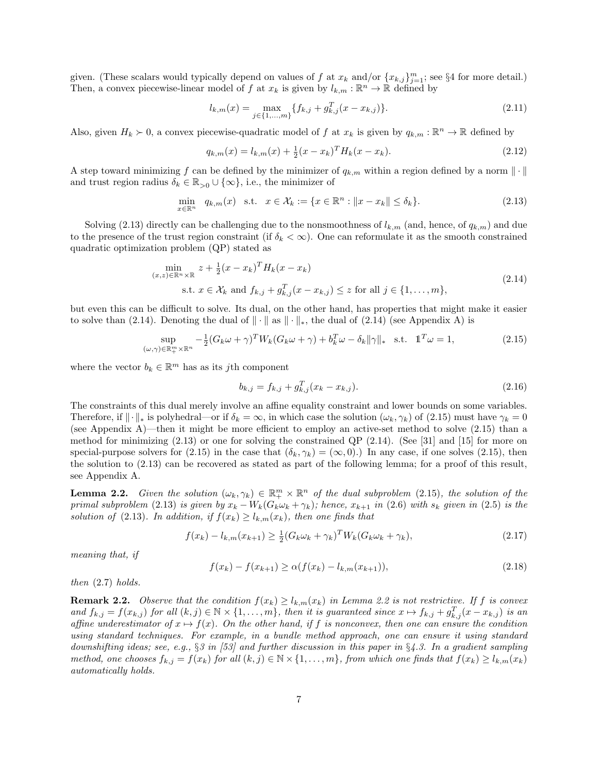given. (These scalars would typically depend on values of f at  $x_k$  and/or  $\{x_{k,j}\}_{j=1}^m$ ; see §4 for more detail.) Then, a convex piecewise-linear model of f at  $x_k$  is given by  $l_{k,m}: \mathbb{R}^n \to \mathbb{R}$  defined by

$$
l_{k,m}(x) = \max_{j \in \{1, \dots, m\}} \{ f_{k,j} + g_{k,j}^T (x - x_{k,j}) \}.
$$
\n(2.11)

Also, given  $H_k \succ 0$ , a convex piecewise-quadratic model of f at  $x_k$  is given by  $q_{k,m} : \mathbb{R}^n \to \mathbb{R}$  defined by

$$
q_{k,m}(x) = l_{k,m}(x) + \frac{1}{2}(x - x_k)^T H_k(x - x_k).
$$
\n(2.12)

A step toward minimizing f can be defined by the minimizer of  $q_{k,m}$  within a region defined by a norm  $\|\cdot\|$ and trust region radius  $\delta_k \in \mathbb{R}_{>0} \cup \{\infty\}$ , i.e., the minimizer of

$$
\min_{x \in \mathbb{R}^n} q_{k,m}(x) \quad \text{s.t.} \quad x \in \mathcal{X}_k := \{ x \in \mathbb{R}^n : ||x - x_k|| \le \delta_k \}. \tag{2.13}
$$

Solving (2.13) directly can be challenging due to the nonsmoothness of  $l_{k,m}$  (and, hence, of  $q_{k,m}$ ) and due to the presence of the trust region constraint (if  $\delta_k < \infty$ ). One can reformulate it as the smooth constrained quadratic optimization problem (QP) stated as

$$
\min_{(x,z)\in\mathbb{R}^n\times\mathbb{R}} z + \frac{1}{2}(x - x_k)^T H_k(x - x_k)
$$
\n
$$
\text{s.t. } x \in \mathcal{X}_k \text{ and } f_{k,j} + g_{k,j}^T (x - x_{k,j}) \le z \text{ for all } j \in \{1, \dots, m\},\tag{2.14}
$$

but even this can be difficult to solve. Its dual, on the other hand, has properties that might make it easier to solve than (2.14). Denoting the dual of  $\|\cdot\|$  as  $\|\cdot\|_*$ , the dual of (2.14) (see Appendix A) is

$$
\sup_{(\omega,\gamma)\in\mathbb{R}_+^m\times\mathbb{R}^n} -\frac{1}{2}(G_k\omega+\gamma)^T W_k(G_k\omega+\gamma)+b_k^T\omega-\delta_k\|\gamma\|_* \quad \text{s.t.} \quad \mathbb{1}^T\omega=1,
$$
\n(2.15)

where the vector  $b_k \in \mathbb{R}^m$  has as its jth component

$$
b_{k,j} = f_{k,j} + g_{k,j}^T (x_k - x_{k,j}).
$$
\n(2.16)

The constraints of this dual merely involve an affine equality constraint and lower bounds on some variables. Therefore, if  $\|\cdot\|_*$  is polyhedral—or if  $\delta_k = \infty$ , in which case the solution  $(\omega_k, \gamma_k)$  of (2.15) must have  $\gamma_k = 0$ (see Appendix A)—then it might be more efficient to employ an active-set method to solve (2.15) than a method for minimizing  $(2.13)$  or one for solving the constrained QP  $(2.14)$ . (See [31] and [15] for more on special-purpose solvers for (2.15) in the case that  $(\delta_k, \gamma_k) = (\infty, 0)$ . In any case, if one solves (2.15), then the solution to (2.13) can be recovered as stated as part of the following lemma; for a proof of this result, see Appendix A.

**Lemma 2.2.** Given the solution  $(\omega_k, \gamma_k) \in \mathbb{R}^m_+ \times \mathbb{R}^n$  of the dual subproblem (2.15), the solution of the primal subproblem (2.13) is given by  $x_k - W_k(G_k\omega_k + \gamma_k)$ ; hence,  $x_{k+1}$  in (2.6) with  $s_k$  given in (2.5) is the solution of (2.13). In addition, if  $f(x_k) \geq l_{k,m}(x_k)$ , then one finds that

$$
f(x_k) - l_{k,m}(x_{k+1}) \ge \frac{1}{2} (G_k \omega_k + \gamma_k)^T W_k (G_k \omega_k + \gamma_k),
$$
\n(2.17)

meaning that, if

$$
f(x_k) - f(x_{k+1}) \ge \alpha (f(x_k) - l_{k,m}(x_{k+1})),
$$
\n(2.18)

then (2.7) holds.

**Remark 2.2.** Observe that the condition  $f(x_k) \ge l_{k,m}(x_k)$  in Lemma 2.2 is not restrictive. If f is convex and  $f_{k,j} = f(x_{k,j})$  for all  $(k,j) \in \mathbb{N} \times \{1, \ldots, m\}$ , then it is guaranteed since  $x \mapsto f_{k,j} + g_{k,j}^T (x - x_{k,j})$  is an affine underestimator of  $x \mapsto f(x)$ . On the other hand, if f is nonconvex, then one can ensure the condition using standard techniques. For example, in a bundle method approach, one can ensure it using standard downshifting ideas; see, e.g., §3 in [53] and further discussion in this paper in §4.3. In a gradient sampling method, one chooses  $f_{k,j} = f(x_k)$  for all  $(k,j) \in \mathbb{N} \times \{1, \ldots, m\}$ , from which one finds that  $f(x_k) \geq l_{k,m}(x_k)$ automatically holds.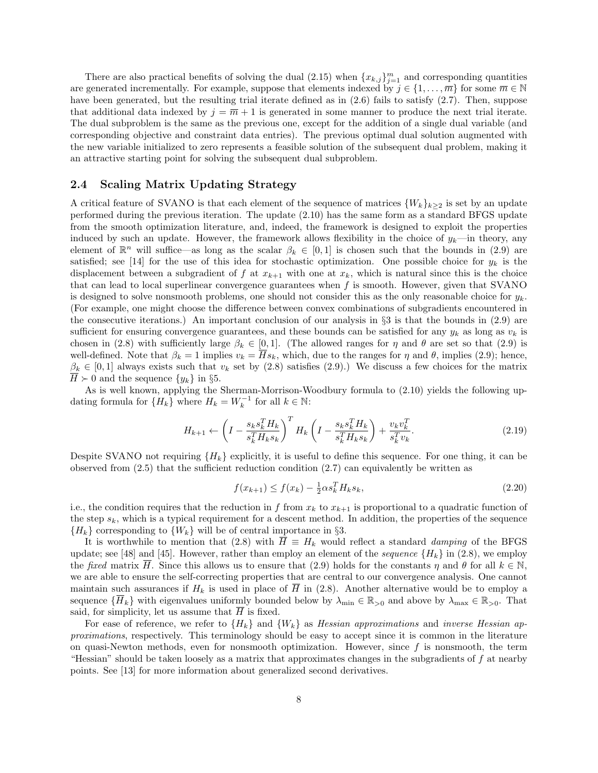There are also practical benefits of solving the dual  $(2.15)$  when  $\{x_{k,j}\}_{j=1}^m$  and corresponding quantities are generated incrementally. For example, suppose that elements indexed by  $j \in \{1, \ldots, \overline{m}\}$  for some  $\overline{m} \in \mathbb{N}$ have been generated, but the resulting trial iterate defined as in  $(2.6)$  fails to satisfy  $(2.7)$ . Then, suppose that additional data indexed by  $j = \overline{m} + 1$  is generated in some manner to produce the next trial iterate. The dual subproblem is the same as the previous one, except for the addition of a single dual variable (and corresponding objective and constraint data entries). The previous optimal dual solution augmented with the new variable initialized to zero represents a feasible solution of the subsequent dual problem, making it an attractive starting point for solving the subsequent dual subproblem.

#### 2.4 Scaling Matrix Updating Strategy

A critical feature of SVANO is that each element of the sequence of matrices  $\{W_k\}_{k\geq 2}$  is set by an update performed during the previous iteration. The update (2.10) has the same form as a standard BFGS update from the smooth optimization literature, and, indeed, the framework is designed to exploit the properties induced by such an update. However, the framework allows flexibility in the choice of  $y_k$ —in theory, any element of  $\mathbb{R}^n$  will suffice—as long as the scalar  $\beta_k \in [0,1]$  is chosen such that the bounds in (2.9) are satisfied; see [14] for the use of this idea for stochastic optimization. One possible choice for  $y_k$  is the displacement between a subgradient of f at  $x_{k+1}$  with one at  $x_k$ , which is natural since this is the choice that can lead to local superlinear convergence guarantees when  $f$  is smooth. However, given that SVANO is designed to solve nonsmooth problems, one should not consider this as the only reasonable choice for  $y_k$ . (For example, one might choose the difference between convex combinations of subgradients encountered in the consecutive iterations.) An important conclusion of our analysis in §3 is that the bounds in (2.9) are sufficient for ensuring convergence guarantees, and these bounds can be satisfied for any  $y_k$  as long as  $v_k$  is chosen in (2.8) with sufficiently large  $\beta_k \in [0,1]$ . (The allowed ranges for  $\eta$  and  $\theta$  are set so that (2.9) is well-defined. Note that  $\beta_k = 1$  implies  $v_k = \overline{H} s_k$ , which, due to the ranges for  $\eta$  and  $\theta$ , implies (2.9); hence,  $\beta_k \in [0,1]$  always exists such that  $v_k$  set by (2.8) satisfies (2.9).) We discuss a few choices for the matrix  $\overline{H} \succ 0$  and the sequence  $\{y_k\}$  in §5.

As is well known, applying the Sherman-Morrison-Woodbury formula to (2.10) yields the following updating formula for  $\{H_k\}$  where  $H_k = W_k^{-1}$  for all  $k \in \mathbb{N}$ :

$$
H_{k+1} \leftarrow \left(I - \frac{s_k s_k^T H_k}{s_k^T H_k s_k}\right)^T H_k \left(I - \frac{s_k s_k^T H_k}{s_k^T H_k s_k}\right) + \frac{v_k v_k^T}{s_k^T v_k}.
$$
\n(2.19)

Despite SVANO not requiring  ${H_k}$  explicitly, it is useful to define this sequence. For one thing, it can be observed from  $(2.5)$  that the sufficient reduction condition  $(2.7)$  can equivalently be written as

$$
f(x_{k+1}) \le f(x_k) - \frac{1}{2} \alpha s_k^T H_k s_k,
$$
\n(2.20)

i.e., the condition requires that the reduction in f from  $x_k$  to  $x_{k+1}$  is proportional to a quadratic function of the step  $s_k$ , which is a typical requirement for a descent method. In addition, the properties of the sequence  ${H_k}$  corresponding to  ${W_k}$  will be of central importance in §3.

It is worthwhile to mention that (2.8) with  $\overline{H} \equiv H_k$  would reflect a standard *damping* of the BFGS update; see [48] and [45]. However, rather than employ an element of the *sequence*  ${H_k}$  in (2.8), we employ the fixed matrix H. Since this allows us to ensure that (2.9) holds for the constants  $\eta$  and  $\theta$  for all  $k \in \mathbb{N}$ , we are able to ensure the self-correcting properties that are central to our convergence analysis. One cannot maintain such assurances if  $H_k$  is used in place of  $\overline{H}$  in (2.8). Another alternative would be to employ a sequence  $\{\overline{H}_k\}$  with eigenvalues uniformly bounded below by  $\lambda_{\min} \in \mathbb{R}_{>0}$  and above by  $\lambda_{\max} \in \mathbb{R}_{>0}$ . That said, for simplicity, let us assume that  $\overline{H}$  is fixed.

For ease of reference, we refer to  ${H_k}$  and  ${W_k}$  as Hessian approximations and inverse Hessian approximations, respectively. This terminology should be easy to accept since it is common in the literature on quasi-Newton methods, even for nonsmooth optimization. However, since  $f$  is nonsmooth, the term "Hessian" should be taken loosely as a matrix that approximates changes in the subgradients of  $f$  at nearby points. See [13] for more information about generalized second derivatives.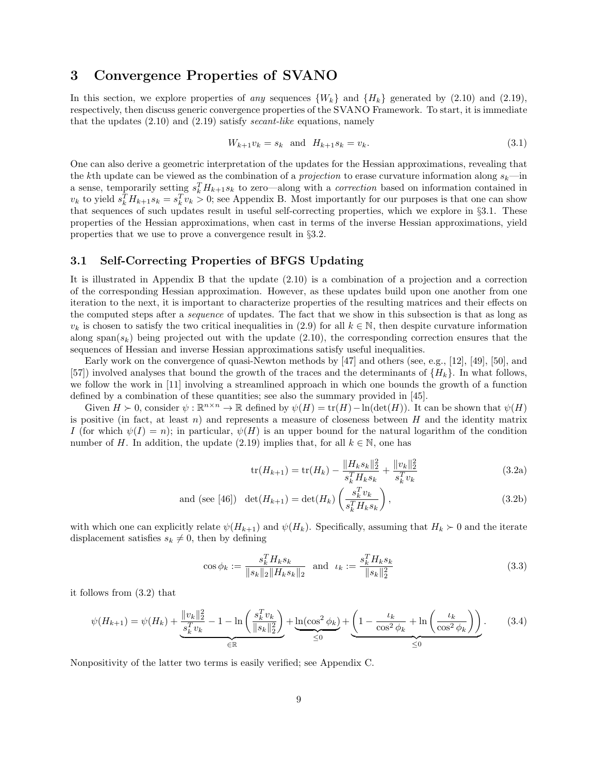## 3 Convergence Properties of SVANO

In this section, we explore properties of any sequences  $\{W_k\}$  and  $\{H_k\}$  generated by (2.10) and (2.19), respectively, then discuss generic convergence properties of the SVANO Framework. To start, it is immediate that the updates  $(2.10)$  and  $(2.19)$  satisfy *secant-like* equations, namely

$$
W_{k+1}v_k = s_k \text{ and } H_{k+1}s_k = v_k. \tag{3.1}
$$

One can also derive a geometric interpretation of the updates for the Hessian approximations, revealing that the kth update can be viewed as the combination of a *projection* to erase curvature information along  $s_k$ —in a sense, temporarily setting  $s_k^TH_{k+1}s_k$  to zero—along with a *correction* based on information contained in  $v_k$  to yield  $s_k^T H_{k+1} s_k = s_k^T v_k > 0$ ; see Appendix B. Most importantly for our purposes is that one can show that sequences of such updates result in useful self-correcting properties, which we explore in §3.1. These properties of the Hessian approximations, when cast in terms of the inverse Hessian approximations, yield properties that we use to prove a convergence result in §3.2.

#### 3.1 Self-Correcting Properties of BFGS Updating

It is illustrated in Appendix B that the update (2.10) is a combination of a projection and a correction of the corresponding Hessian approximation. However, as these updates build upon one another from one iteration to the next, it is important to characterize properties of the resulting matrices and their effects on the computed steps after a sequence of updates. The fact that we show in this subsection is that as long as  $v_k$  is chosen to satisfy the two critical inequalities in (2.9) for all  $k \in \mathbb{N}$ , then despite curvature information along span $(s_k)$  being projected out with the update (2.10), the corresponding correction ensures that the sequences of Hessian and inverse Hessian approximations satisfy useful inequalities.

Early work on the convergence of quasi-Newton methods by [47] and others (see, e.g., [12], [49], [50], and [57]) involved analyses that bound the growth of the traces and the determinants of  $\{H_k\}$ . In what follows, we follow the work in [11] involving a streamlined approach in which one bounds the growth of a function defined by a combination of these quantities; see also the summary provided in [45].

Given  $H \succ 0$ , consider  $\psi : \mathbb{R}^{n \times n} \to \mathbb{R}$  defined by  $\psi(H) = \text{tr}(H) - \ln(\det(H))$ . It can be shown that  $\psi(H)$ is positive (in fact, at least n) and represents a measure of closeness between  $H$  and the identity matrix I (for which  $\psi(I) = n$ ); in particular,  $\psi(H)$  is an upper bound for the natural logarithm of the condition number of H. In addition, the update (2.19) implies that, for all  $k \in \mathbb{N}$ , one has

$$
\text{tr}(H_{k+1}) = \text{tr}(H_k) - \frac{\|H_k s_k\|_2^2}{s_k^T H_k s_k} + \frac{\|v_k\|_2^2}{s_k^T v_k} \tag{3.2a}
$$

and (see [46]) 
$$
\det(H_{k+1}) = \det(H_k) \left( \frac{s_k^T v_k}{s_k^T H_k s_k} \right), \tag{3.2b}
$$

with which one can explicitly relate  $\psi(H_{k+1})$  and  $\psi(H_k)$ . Specifically, assuming that  $H_k \succ 0$  and the iterate displacement satisfies  $s_k \neq 0$ , then by defining

$$
\cos \phi_k := \frac{s_k^T H_k s_k}{\|s_k\|_2 \|H_k s_k\|_2} \quad \text{and} \quad \iota_k := \frac{s_k^T H_k s_k}{\|s_k\|_2^2} \tag{3.3}
$$

it follows from (3.2) that

$$
\psi(H_{k+1}) = \psi(H_k) + \underbrace{\frac{\|v_k\|_2^2}{s_k^T v_k} - 1 - \ln\left(\frac{s_k^T v_k}{\|s_k\|_2^2}\right)}_{\in \mathbb{R}} + \underbrace{\ln(\cos^2 \phi_k)}_{\leq 0} + \underbrace{\left(1 - \frac{\iota_k}{\cos^2 \phi_k} + \ln\left(\frac{\iota_k}{\cos^2 \phi_k}\right)\right)}_{\leq 0}.\tag{3.4}
$$

Nonpositivity of the latter two terms is easily verified; see Appendix C.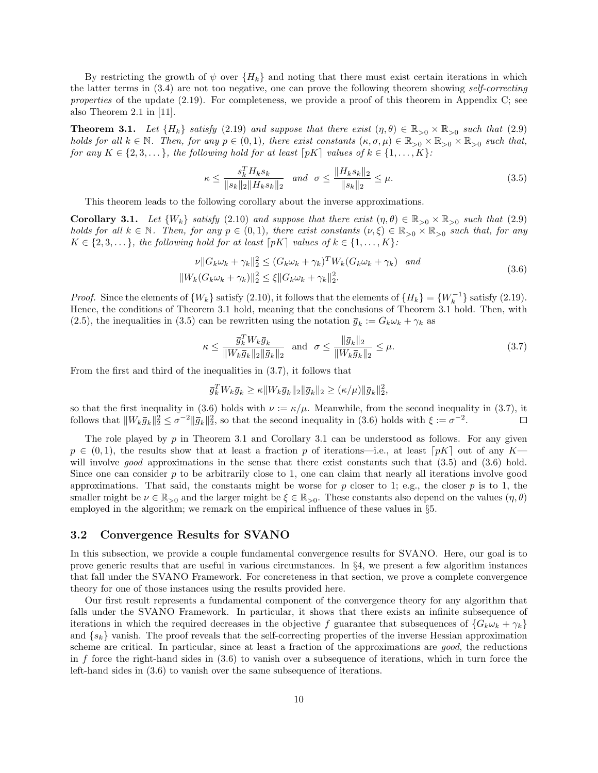By restricting the growth of  $\psi$  over  ${H_k}$  and noting that there must exist certain iterations in which the latter terms in (3.4) are not too negative, one can prove the following theorem showing self-correcting properties of the update (2.19). For completeness, we provide a proof of this theorem in Appendix C; see also Theorem 2.1 in [11].

**Theorem 3.1.** Let  $\{H_k\}$  satisfy (2.19) and suppose that there exist  $(\eta, \theta) \in \mathbb{R}_{>0} \times \mathbb{R}_{>0}$  such that (2.9) holds for all  $k \in \mathbb{N}$ . Then, for any  $p \in (0,1)$ , there exist constants  $(\kappa, \sigma, \mu) \in \mathbb{R}_{>0} \times \mathbb{R}_{>0} \times \mathbb{R}_{>0}$  such that, for any  $K \in \{2, 3, \ldots\}$ , the following hold for at least  $\lceil pK \rceil$  values of  $k \in \{1, \ldots, K\}$ :

$$
\kappa \le \frac{s_k^T H_k s_k}{\|s_k\|_2 \|H_k s_k\|_2} \quad \text{and} \quad \sigma \le \frac{\|H_k s_k\|_2}{\|s_k\|_2} \le \mu. \tag{3.5}
$$

This theorem leads to the following corollary about the inverse approximations.

**Corollary 3.1.** Let  $\{W_k\}$  satisfy (2.10) and suppose that there exist  $(\eta, \theta) \in \mathbb{R}_{>0} \times \mathbb{R}_{>0}$  such that (2.9) holds for all  $k \in \mathbb{N}$ . Then, for any  $p \in (0,1)$ , there exist constants  $(\nu, \xi) \in \mathbb{R}_{>0} \times \mathbb{R}_{>0}$  such that, for any  $K \in \{2, 3, \dots\}$ , the following hold for at least  $\lceil pK \rceil$  values of  $k \in \{1, \dots, K\}$ :

$$
\nu ||G_k \omega_k + \gamma_k||_2^2 \le (G_k \omega_k + \gamma_k)^T W_k (G_k \omega_k + \gamma_k) \quad and
$$
  

$$
||W_k (G_k \omega_k + \gamma_k)||_2^2 \le \xi ||G_k \omega_k + \gamma_k||_2^2.
$$
 (3.6)

*Proof.* Since the elements of  $\{W_k\}$  satisfy (2.10), it follows that the elements of  $\{H_k\} = \{W_k^{-1}\}$  satisfy (2.19). Hence, the conditions of Theorem 3.1 hold, meaning that the conclusions of Theorem 3.1 hold. Then, with (2.5), the inequalities in (3.5) can be rewritten using the notation  $\bar{g}_k := G_k \omega_k + \gamma_k$  as

$$
\kappa \le \frac{\bar{g}_k^T W_k \bar{g}_k}{\|W_k \bar{g}_k\|_2 \|\bar{g}_k\|_2} \text{ and } \sigma \le \frac{\|\bar{g}_k\|_2}{\|W_k \bar{g}_k\|_2} \le \mu. \tag{3.7}
$$

From the first and third of the inequalities in (3.7), it follows that

$$
\bar{g}_k^T W_k \bar{g}_k \ge \kappa \|W_k \bar{g}_k\|_2 \|\bar{g}_k\|_2 \ge (\kappa/\mu) \|\bar{g}_k\|_2^2,
$$

so that the first inequality in (3.6) holds with  $\nu := \kappa/\mu$ . Meanwhile, from the second inequality in (3.7), it follows that  $||W_k \bar{g}_k||_2^2 \le \sigma^{-2} ||\bar{g}_k||_2^2$ , so that the second inequality in (3.6) holds with  $\xi := \sigma^{-2}$ .  $\Box$ 

The role played by  $p$  in Theorem 3.1 and Corollary 3.1 can be understood as follows. For any given  $p \in (0,1)$ , the results show that at least a fraction p of iterations—i.e., at least  $[pK]$  out of any K will involve good approximations in the sense that there exist constants such that  $(3.5)$  and  $(3.6)$  hold. Since one can consider  $p$  to be arbitrarily close to 1, one can claim that nearly all iterations involve good approximations. That said, the constants might be worse for p closer to 1; e.g., the closer p is to 1, the smaller might be  $\nu \in \mathbb{R}_{>0}$  and the larger might be  $\xi \in \mathbb{R}_{>0}$ . These constants also depend on the values  $(\eta, \theta)$ employed in the algorithm; we remark on the empirical influence of these values in §5.

#### 3.2 Convergence Results for SVANO

In this subsection, we provide a couple fundamental convergence results for SVANO. Here, our goal is to prove generic results that are useful in various circumstances. In §4, we present a few algorithm instances that fall under the SVANO Framework. For concreteness in that section, we prove a complete convergence theory for one of those instances using the results provided here.

Our first result represents a fundamental component of the convergence theory for any algorithm that falls under the SVANO Framework. In particular, it shows that there exists an infinite subsequence of iterations in which the required decreases in the objective f guarantee that subsequences of  ${G_k \omega_k + \gamma_k}$ and  $\{s_k\}$  vanish. The proof reveals that the self-correcting properties of the inverse Hessian approximation scheme are critical. In particular, since at least a fraction of the approximations are good, the reductions in f force the right-hand sides in  $(3.6)$  to vanish over a subsequence of iterations, which in turn force the left-hand sides in (3.6) to vanish over the same subsequence of iterations.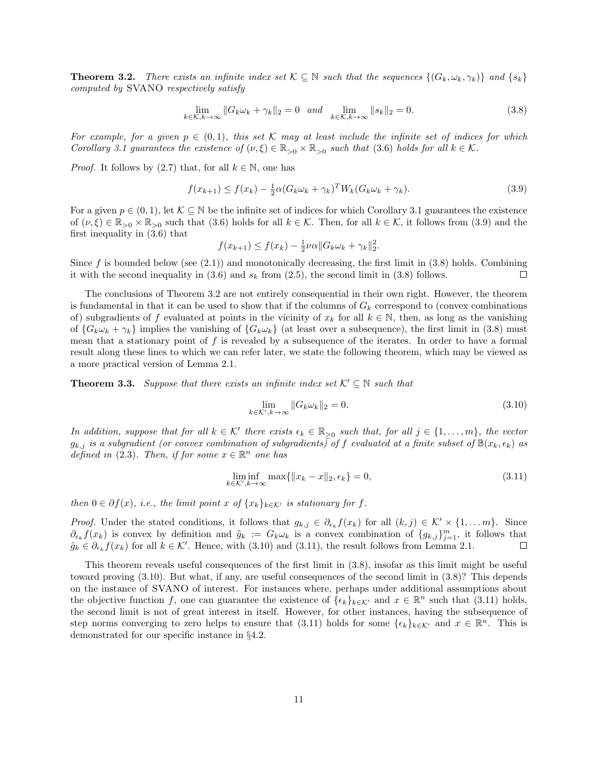**Theorem 3.2.** There exists an infinite index set  $\mathcal{K} \subseteq \mathbb{N}$  such that the sequences  $\{(G_k, \omega_k, \gamma_k)\}\$  and  $\{s_k\}$ computed by SVANO respectively satisfy

$$
\lim_{k \in \mathcal{K}, k \to \infty} \|G_k \omega_k + \gamma_k\|_2 = 0 \quad \text{and} \quad \lim_{k \in \mathcal{K}, k \to \infty} \|s_k\|_2 = 0. \tag{3.8}
$$

For example, for a given  $p \in (0,1)$ , this set K may at least include the infinite set of indices for which Corollary 3.1 guarantees the existence of  $(\nu, \xi) \in \mathbb{R}_{>0} \times \mathbb{R}_{>0}$  such that (3.6) holds for all  $k \in \mathcal{K}$ .

*Proof.* It follows by (2.7) that, for all  $k \in \mathbb{N}$ , one has

$$
f(x_{k+1}) \le f(x_k) - \frac{1}{2}\alpha (G_k \omega_k + \gamma_k)^T W_k (G_k \omega_k + \gamma_k).
$$
\n(3.9)

For a given  $p \in (0, 1)$ , let  $K \subseteq \mathbb{N}$  be the infinite set of indices for which Corollary 3.1 guarantees the existence of  $(\nu, \xi) \in \mathbb{R}_{>0} \times \mathbb{R}_{>0}$  such that (3.6) holds for all  $k \in \mathcal{K}$ . Then, for all  $k \in \mathcal{K}$ , it follows from (3.9) and the first inequality in (3.6) that

$$
f(x_{k+1}) \le f(x_k) - \frac{1}{2}\nu\alpha \|G_k \omega_k + \gamma_k\|_2^2.
$$

Since  $f$  is bounded below (see  $(2.1)$ ) and monotonically decreasing, the first limit in  $(3.8)$  holds. Combining it with the second inequality in  $(3.6)$  and  $s_k$  from  $(2.5)$ , the second limit in  $(3.8)$  follows.  $\Box$ 

The conclusions of Theorem 3.2 are not entirely consequential in their own right. However, the theorem is fundamental in that it can be used to show that if the columns of  $G_k$  correspond to (convex combinations of) subgradients of f evaluated at points in the vicinity of  $x_k$  for all  $k \in \mathbb{N}$ , then, as long as the vanishing of  $\{G_k\omega_k + \gamma_k\}$  implies the vanishing of  $\{G_k\omega_k\}$  (at least over a subsequence), the first limit in (3.8) must mean that a stationary point of  $f$  is revealed by a subsequence of the iterates. In order to have a formal result along these lines to which we can refer later, we state the following theorem, which may be viewed as a more practical version of Lemma 2.1.

**Theorem 3.3.** Suppose that there exists an infinite index set  $\mathcal{K}' \subseteq \mathbb{N}$  such that

$$
\lim_{k \in \mathcal{K}', k \to \infty} \|G_k \omega_k\|_2 = 0.
$$
\n(3.10)

In addition, suppose that for all  $k \in \mathcal{K}'$  there exists  $\epsilon_k \in \mathbb{R}_{\geq 0}$  such that, for all  $j \in \{1, ..., m\}$ , the vector  $g_{k,j}$  is a subgradient (or convex combination of subgradients) of f evaluated at a finite subset of  $\mathbb{B}(x_k, \epsilon_k)$  as defined in (2.3). Then, if for some  $x \in \mathbb{R}^n$  one has

$$
\liminf_{k \in \mathcal{K}', k \to \infty} \max\{ \|x_k - x\|_2, \epsilon_k \} = 0,\tag{3.11}
$$

then  $0 \in \partial f(x)$ , i.e., the limit point x of  $\{x_k\}_{k \in \mathcal{K}'}$  is stationary for f.

*Proof.* Under the stated conditions, it follows that  $g_{k,j} \in \partial_{\epsilon_k} f(x_k)$  for all  $(k,j) \in \mathcal{K}' \times \{1, \ldots m\}$ . Since  $\partial_{\epsilon_k} f(x_k)$  is convex by definition and  $\tilde{g}_k := G_k \omega_k$  is a convex combination of  $\{g_{k,j}\}_{j=1}^m$ , it follows that  $\tilde{g}_k \in \partial_{\epsilon_k} f(x_k)$  for all  $k \in \mathcal{K}'$ . Hence, with (3.10) and (3.11), the result follows from Lemma 2.1.  $\Box$ 

This theorem reveals useful consequences of the first limit in (3.8), insofar as this limit might be useful toward proving (3.10). But what, if any, are useful consequences of the second limit in (3.8)? This depends on the instance of SVANO of interest. For instances where, perhaps under additional assumptions about the objective function f, one can guarantee the existence of  $\{\epsilon_k\}_{k\in\mathcal{K}}$  and  $x \in \mathbb{R}^n$  such that (3.11) holds, the second limit is not of great interest in itself. However, for other instances, having the subsequence of step norms converging to zero helps to ensure that (3.11) holds for some  $\{\epsilon_k\}_{k\in\mathcal{K}}$  and  $x \in \mathbb{R}^n$ . This is demonstrated for our specific instance in §4.2.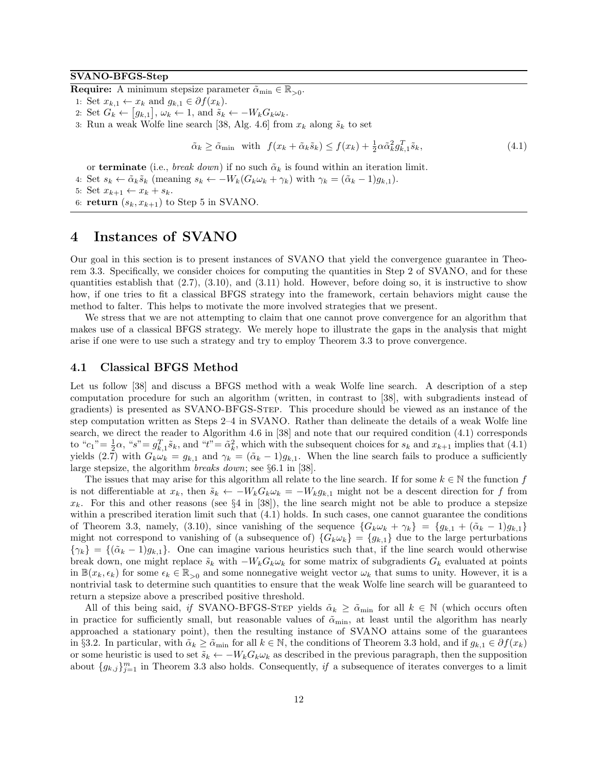#### SVANO-BFGS-Step

**Require:** A minimum stepsize parameter  $\tilde{\alpha}_{\min} \in \mathbb{R}_{>0}$ .

- 1: Set  $x_{k,1} \leftarrow x_k$  and  $g_{k,1} \in \partial f(x_k)$ .
- 2: Set  $G_k \leftarrow [g_{k,1}], \omega_k \leftarrow 1$ , and  $\tilde{s}_k \leftarrow -W_k G_k \omega_k$ .
- 3: Run a weak Wolfe line search [38, Alg. 4.6] from  $x_k$  along  $\tilde{s}_k$  to set

$$
\tilde{\alpha}_k \ge \tilde{\alpha}_{\min} \quad \text{with} \quad f(x_k + \tilde{\alpha}_k \tilde{s}_k) \le f(x_k) + \frac{1}{2} \alpha \tilde{\alpha}_k^2 g_{k,1}^T \tilde{s}_k,\tag{4.1}
$$

or terminate (i.e., *break down*) if no such  $\tilde{\alpha}_k$  is found within an iteration limit.

4: Set  $s_k \leftarrow \tilde{\alpha}_k \tilde{s}_k$  (meaning  $s_k \leftarrow -W_k(G_k \omega_k + \gamma_k)$  with  $\gamma_k = (\tilde{\alpha}_k - 1)g_{k,1}$ ).

```
5: Set x_{k+1} \leftarrow x_k + s_k.
```
6: return  $(s_k, x_{k+1})$  to Step 5 in SVANO.

## 4 Instances of SVANO

Our goal in this section is to present instances of SVANO that yield the convergence guarantee in Theorem 3.3. Specifically, we consider choices for computing the quantities in Step 2 of SVANO, and for these quantities establish that  $(2.7)$ ,  $(3.10)$ , and  $(3.11)$  hold. However, before doing so, it is instructive to show how, if one tries to fit a classical BFGS strategy into the framework, certain behaviors might cause the method to falter. This helps to motivate the more involved strategies that we present.

We stress that we are not attempting to claim that one cannot prove convergence for an algorithm that makes use of a classical BFGS strategy. We merely hope to illustrate the gaps in the analysis that might arise if one were to use such a strategy and try to employ Theorem 3.3 to prove convergence.

#### 4.1 Classical BFGS Method

Let us follow [38] and discuss a BFGS method with a weak Wolfe line search. A description of a step computation procedure for such an algorithm (written, in contrast to [38], with subgradients instead of gradients) is presented as SVANO-BFGS-Step. This procedure should be viewed as an instance of the step computation written as Steps 2–4 in SVANO. Rather than delineate the details of a weak Wolfe line search, we direct the reader to Algorithm 4.6 in [38] and note that our required condition (4.1) corresponds to " $c_1$ " =  $\frac{1}{2}\alpha$ , " $s$ " =  $g_{k,1}^T\tilde{s}_k$ , and " $t$ " =  $\tilde{\alpha}_k^2$ , which with the subsequent choices for  $s_k$  and  $x_{k+1}$  implies that (4.1) yields (2.7) with  $G_k \omega_k = g_{k,1}$  and  $\gamma_k = (\tilde{\alpha}_k - 1)g_{k,1}$ . When the line search fails to produce a sufficiently large stepsize, the algorithm breaks down; see §6.1 in [38].

The issues that may arise for this algorithm all relate to the line search. If for some  $k \in \mathbb{N}$  the function f is not differentiable at  $x_k$ , then  $\tilde{s}_k \leftarrow -W_k G_k \omega_k = -W_k g_{k,1}$  might not be a descent direction for f from  $x_k$ . For this and other reasons (see  $\S 4$  in [38]), the line search might not be able to produce a stepsize within a prescribed iteration limit such that  $(4.1)$  holds. In such cases, one cannot guarantee the conditions of Theorem 3.3, namely, (3.10), since vanishing of the sequence  ${G_k \omega_k + \gamma_k} = {g_{k,1} + (\tilde{\alpha}_k - 1)g_{k,1}}$ might not correspond to vanishing of (a subsequence of)  ${G_k \omega_k} = {g_{k,1}}$  due to the large perturbations  $\{\gamma_k\} = \{(\tilde{\alpha}_k - 1)g_{k,1}\}\.$  One can imagine various heuristics such that, if the line search would otherwise break down, one might replace  $\tilde{s}_k$  with  $-W_kG_k\omega_k$  for some matrix of subgradients  $G_k$  evaluated at points in  $\mathbb{B}(x_k, \epsilon_k)$  for some  $\epsilon_k \in \mathbb{R}_{>0}$  and some nonnegative weight vector  $\omega_k$  that sums to unity. However, it is a nontrivial task to determine such quantities to ensure that the weak Wolfe line search will be guaranteed to return a stepsize above a prescribed positive threshold.

All of this being said, if SVANO-BFGS-STEP yields  $\tilde{\alpha}_k \geq \tilde{\alpha}_{\min}$  for all  $k \in \mathbb{N}$  (which occurs often in practice for sufficiently small, but reasonable values of  $\tilde{\alpha}_{\min}$ , at least until the algorithm has nearly approached a stationary point), then the resulting instance of SVANO attains some of the guarantees in §3.2. In particular, with  $\tilde{\alpha}_k \ge \tilde{\alpha}_{\min}$  for all  $k \in \mathbb{N}$ , the conditions of Theorem 3.3 hold, and if  $g_{k,1} \in \partial f(x_k)$ or some heuristic is used to set  $\tilde{s}_k \leftarrow -W_k G_k \omega_k$  as described in the previous paragraph, then the supposition about  $\{g_{k,j}\}_{j=1}^m$  in Theorem 3.3 also holds. Consequently, if a subsequence of iterates converges to a limit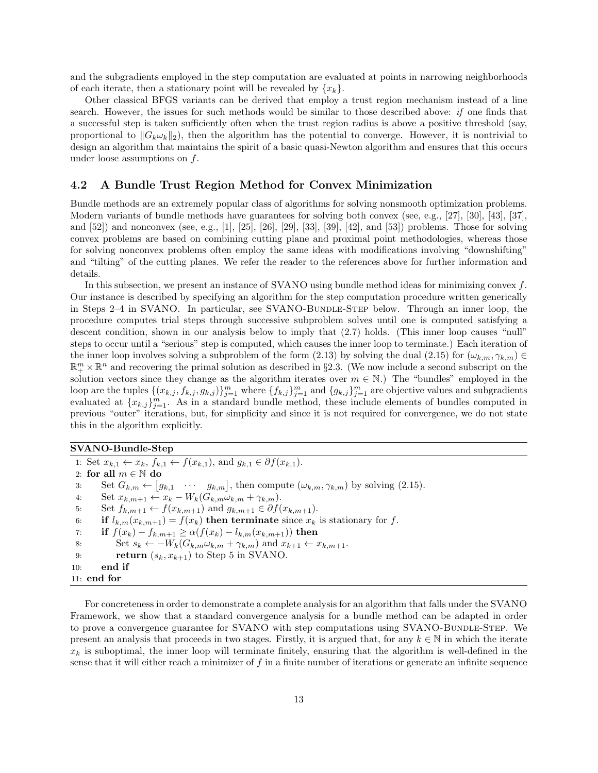and the subgradients employed in the step computation are evaluated at points in narrowing neighborhoods of each iterate, then a stationary point will be revealed by  $\{x_k\}$ .

Other classical BFGS variants can be derived that employ a trust region mechanism instead of a line search. However, the issues for such methods would be similar to those described above: if one finds that a successful step is taken sufficiently often when the trust region radius is above a positive threshold (say, proportional to  $||G_k \omega_k||_2$ , then the algorithm has the potential to converge. However, it is nontrivial to design an algorithm that maintains the spirit of a basic quasi-Newton algorithm and ensures that this occurs under loose assumptions on  $f$ .

#### 4.2 A Bundle Trust Region Method for Convex Minimization

Bundle methods are an extremely popular class of algorithms for solving nonsmooth optimization problems. Modern variants of bundle methods have guarantees for solving both convex (see, e.g., [27], [30], [43], [37], and [52]) and nonconvex (see, e.g., [1], [25], [26], [29], [33], [39], [42], and [53]) problems. Those for solving convex problems are based on combining cutting plane and proximal point methodologies, whereas those for solving nonconvex problems often employ the same ideas with modifications involving "downshifting" and "tilting" of the cutting planes. We refer the reader to the references above for further information and details.

In this subsection, we present an instance of SVANO using bundle method ideas for minimizing convex  $f$ . Our instance is described by specifying an algorithm for the step computation procedure written generically in Steps 2–4 in SVANO. In particular, see SVANO-BUNDLE-STEP below. Through an inner loop, the procedure computes trial steps through successive subproblem solves until one is computed satisfying a descent condition, shown in our analysis below to imply that (2.7) holds. (This inner loop causes "null" steps to occur until a "serious" step is computed, which causes the inner loop to terminate.) Each iteration of the inner loop involves solving a subproblem of the form (2.13) by solving the dual (2.15) for  $(\omega_{k,m}, \gamma_{k,m}) \in$  $\mathbb{R}^m_+ \times \mathbb{R}^n$  and recovering the primal solution as described in §2.3. (We now include a second subscript on the solution vectors since they change as the algorithm iterates over  $m \in \mathbb{N}$ .) The "bundles" employed in the loop are the tuples  $\{(x_{k,j}, f_{k,j}, g_{k,j})\}_{j=1}^m$  where  $\{f_{k,j}\}_{j=1}^m$  and  $\{g_{k,j}\}_{j=1}^m$  are objective values and subgradients evaluated at  ${x_{k,j}}_{j=1}^m$ . As in a standard bundle method, these include elements of bundles computed in previous "outer" iterations, but, for simplicity and since it is not required for convergence, we do not state this in the algorithm explicitly.

#### SVANO-Bundle-Step

1: Set  $x_{k,1} \leftarrow x_k, f_{k,1} \leftarrow f(x_{k,1}),$  and  $g_{k,1} \in \partial f(x_{k,1}).$ 2: for all  $m \in \mathbb{N}$  do 3: Set  $G_{k,m} \leftarrow [g_{k,1} \cdots g_{k,m}],$  then compute  $(\omega_{k,m}, \gamma_{k,m})$  by solving  $(2.15).$ 4: Set  $x_{k,m+1} \leftarrow x_k - W_k(G_{k,m}\omega_{k,m} + \gamma_{k,m})$ 5: Set  $f_{k,m+1} \leftarrow f(x_{k,m+1})$  and  $g_{k,m+1} \in \partial f(x_{k,m+1})$ . 6: if  $l_{k,m}(x_{k,m+1}) = f(x_k)$  then terminate since  $x_k$  is stationary for f. 7: if  $f(x_k) - f_{k,m+1} \geq \alpha(f(x_k) - l_{k,m}(x_{k,m+1}))$  then 8: Set  $s_k \leftarrow -W_k(G_{k,m}\omega_{k,m} + \gamma_{k,m})$  and  $x_{k+1} \leftarrow x_{k,m+1}$ . 9: **return**  $(s_k, x_{k+1})$  to Step 5 in SVANO. 10: end if 11: end for

For concreteness in order to demonstrate a complete analysis for an algorithm that falls under the SVANO Framework, we show that a standard convergence analysis for a bundle method can be adapted in order to prove a convergence guarantee for SVANO with step computations using SVANO-BUNDLE-STEP. We present an analysis that proceeds in two stages. Firstly, it is argued that, for any  $k \in \mathbb{N}$  in which the iterate  $x_k$  is suboptimal, the inner loop will terminate finitely, ensuring that the algorithm is well-defined in the sense that it will either reach a minimizer of  $f$  in a finite number of iterations or generate an infinite sequence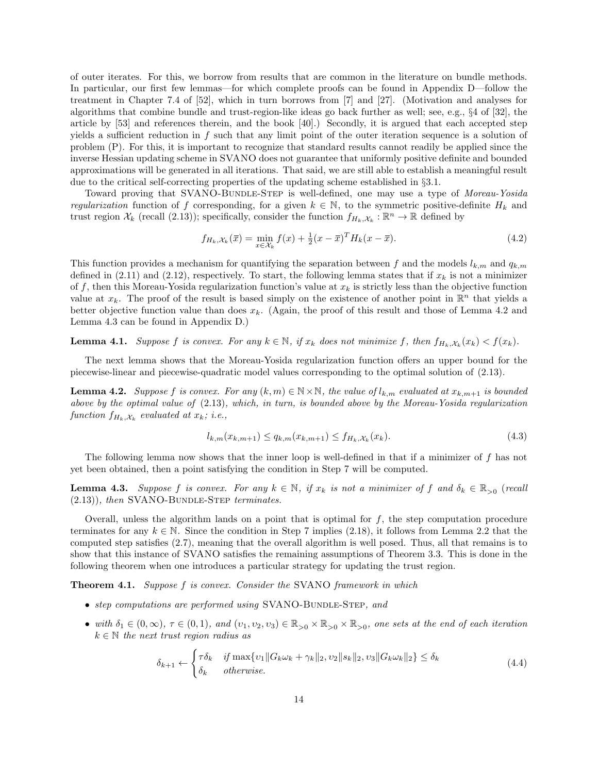of outer iterates. For this, we borrow from results that are common in the literature on bundle methods. In particular, our first few lemmas—for which complete proofs can be found in Appendix D—follow the treatment in Chapter 7.4 of [52], which in turn borrows from [7] and [27]. (Motivation and analyses for algorithms that combine bundle and trust-region-like ideas go back further as well; see, e.g., §4 of [32], the article by [53] and references therein, and the book [40].) Secondly, it is argued that each accepted step yields a sufficient reduction in f such that any limit point of the outer iteration sequence is a solution of problem (P). For this, it is important to recognize that standard results cannot readily be applied since the inverse Hessian updating scheme in SVANO does not guarantee that uniformly positive definite and bounded approximations will be generated in all iterations. That said, we are still able to establish a meaningful result due to the critical self-correcting properties of the updating scheme established in §3.1.

Toward proving that SVANO-BUNDLE-STEP is well-defined, one may use a type of Moreau-Yosida regularization function of f corresponding, for a given  $k \in \mathbb{N}$ , to the symmetric positive-definite  $H_k$  and trust region  $\mathcal{X}_k$  (recall (2.13)); specifically, consider the function  $f_{H_k,\mathcal{X}_k} : \mathbb{R}^n \to \mathbb{R}$  defined by

$$
f_{H_k, \mathcal{X}_k}(\bar{x}) = \min_{x \in \mathcal{X}_k} f(x) + \frac{1}{2} (x - \bar{x})^T H_k(x - \bar{x}).
$$
\n(4.2)

This function provides a mechanism for quantifying the separation between f and the models  $l_{k,m}$  and  $q_{k,m}$ defined in (2.11) and (2.12), respectively. To start, the following lemma states that if  $x_k$  is not a minimizer of f, then this Moreau-Yosida regularization function's value at  $x_k$  is strictly less than the objective function value at  $x_k$ . The proof of the result is based simply on the existence of another point in  $\mathbb{R}^n$  that yields a better objective function value than does  $x_k$ . (Again, the proof of this result and those of Lemma 4.2 and Lemma 4.3 can be found in Appendix D.)

**Lemma 4.1.** Suppose f is convex. For any  $k \in \mathbb{N}$ , if  $x_k$  does not minimize f, then  $f_{H_k,\mathcal{X}_k}(x_k) < f(x_k)$ .

The next lemma shows that the Moreau-Yosida regularization function offers an upper bound for the piecewise-linear and piecewise-quadratic model values corresponding to the optimal solution of (2.13).

**Lemma 4.2.** Suppose f is convex. For any  $(k, m) \in \mathbb{N} \times \mathbb{N}$ , the value of  $l_{k,m}$  evaluated at  $x_{k,m+1}$  is bounded above by the optimal value of (2.13), which, in turn, is bounded above by the Moreau-Yosida regularization function  $f_{H_k, \mathcal{X}_k}$  evaluated at  $x_k$ ; i.e.,

$$
l_{k,m}(x_{k,m+1}) \le q_{k,m}(x_{k,m+1}) \le f_{H_k, \mathcal{X}_k}(x_k). \tag{4.3}
$$

The following lemma now shows that the inner loop is well-defined in that if a minimizer of f has not yet been obtained, then a point satisfying the condition in Step 7 will be computed.

**Lemma 4.3.** Suppose f is convex. For any  $k \in \mathbb{N}$ , if  $x_k$  is not a minimizer of f and  $\delta_k \in \mathbb{R}_{>0}$  (recall  $(2.13)$ ), then SVANO-BUNDLE-STEP terminates.

Overall, unless the algorithm lands on a point that is optimal for  $f$ , the step computation procedure terminates for any  $k \in \mathbb{N}$ . Since the condition in Step 7 implies (2.18), it follows from Lemma 2.2 that the computed step satisfies (2.7), meaning that the overall algorithm is well posed. Thus, all that remains is to show that this instance of SVANO satisfies the remaining assumptions of Theorem 3.3. This is done in the following theorem when one introduces a particular strategy for updating the trust region.

Theorem 4.1. Suppose f is convex. Consider the SVANO framework in which

- step computations are performed using  $SVANO-BUNDLE-STEP$ , and
- with  $\delta_1 \in (0,\infty)$ ,  $\tau \in (0,1)$ , and  $(v_1, v_2, v_3) \in \mathbb{R}_{>0} \times \mathbb{R}_{>0}$ , one sets at the end of each iteration  $k \in \mathbb{N}$  the next trust region radius as

$$
\delta_{k+1} \leftarrow \begin{cases}\n\tau \delta_k & \text{if } \max\{v_1 \| G_k \omega_k + \gamma_k \|_2, v_2 \| s_k \|_2, v_3 \| G_k \omega_k \|_2\} \le \delta_k \\
\delta_k & \text{otherwise.}\n\end{cases}\n\tag{4.4}
$$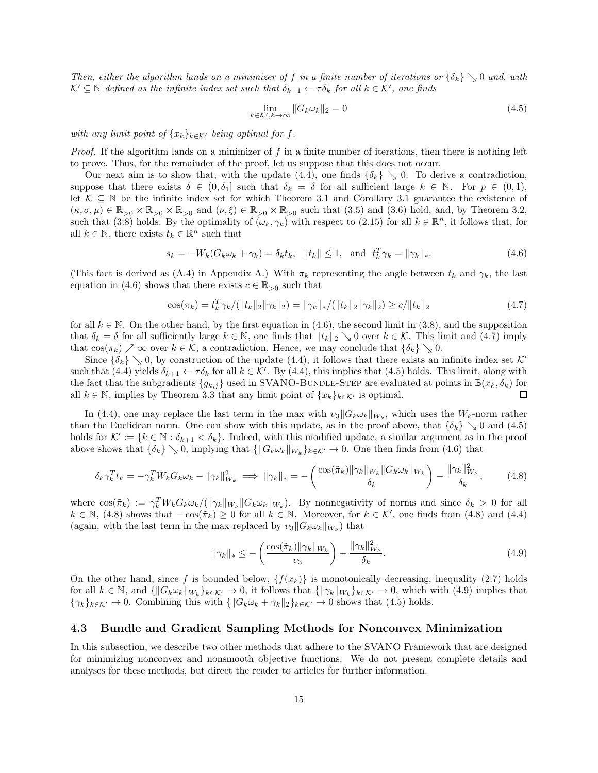Then, either the algorithm lands on a minimizer of f in a finite number of iterations or  $\{\delta_k\} \setminus 0$  and, with  $\mathcal{K}' \subseteq \mathbb{N}$  defined as the infinite index set such that  $\delta_{k+1} \leftarrow \tau \delta_k$  for all  $k \in \mathcal{K}'$ , one finds

$$
\lim_{k \in \mathcal{K}', k \to \infty} \|G_k \omega_k\|_2 = 0 \tag{4.5}
$$

with any limit point of  $\{x_k\}_{k\in\mathcal{K}}$  being optimal for f.

*Proof.* If the algorithm lands on a minimizer of f in a finite number of iterations, then there is nothing left to prove. Thus, for the remainder of the proof, let us suppose that this does not occur.

Our next aim is to show that, with the update (4.4), one finds  $\{\delta_k\} \searrow 0$ . To derive a contradiction, suppose that there exists  $\delta \in (0, \delta_1]$  such that  $\delta_k = \delta$  for all sufficient large  $k \in \mathbb{N}$ . For  $p \in (0, 1)$ , let  $\mathcal{K} \subseteq \mathbb{N}$  be the infinite index set for which Theorem 3.1 and Corollary 3.1 guarantee the existence of  $(\kappa, \sigma, \mu) \in \mathbb{R}_{>0} \times \mathbb{R}_{>0} \times \mathbb{R}_{>0}$  and  $(\nu, \xi) \in \mathbb{R}_{>0} \times \mathbb{R}_{>0}$  such that  $(3.5)$  and  $(3.6)$  hold, and, by Theorem 3.2, such that (3.8) holds. By the optimality of  $(\omega_k, \gamma_k)$  with respect to (2.15) for all  $k \in \mathbb{R}^n$ , it follows that, for all  $k \in \mathbb{N}$ , there exists  $t_k \in \mathbb{R}^n$  such that

$$
s_k = -W_k(G_k \omega_k + \gamma_k) = \delta_k t_k, \quad \|t_k\| \le 1, \text{ and } t_k^T \gamma_k = \|\gamma_k\|_*.
$$
 (4.6)

(This fact is derived as (A.4) in Appendix A.) With  $\pi_k$  representing the angle between  $t_k$  and  $\gamma_k$ , the last equation in (4.6) shows that there exists  $c \in \mathbb{R}_{>0}$  such that

$$
\cos(\pi_k) = t_k^T \gamma_k / (\|t_k\|_2 \|\gamma_k\|_2) = \|\gamma_k\|_* / (\|t_k\|_2 \|\gamma_k\|_2) \ge c / \|t_k\|_2 \tag{4.7}
$$

for all  $k \in \mathbb{N}$ . On the other hand, by the first equation in (4.6), the second limit in (3.8), and the supposition that  $\delta_k = \delta$  for all sufficiently large  $k \in \mathbb{N}$ , one finds that  $||t_k||_2 \searrow 0$  over  $k \in \mathcal{K}$ . This limit and (4.7) imply that  $\cos(\pi_k) \nearrow \infty$  over  $k \in \mathcal{K}$ , a contradiction. Hence, we may conclude that  $\{\delta_k\} \searrow 0$ .

Since  $\{\delta_k\} \searrow 0$ , by construction of the update (4.4), it follows that there exists an infinite index set K' such that (4.4) yields  $\delta_{k+1} \leftarrow \tau \delta_k$  for all  $k \in \mathcal{K}'$ . By (4.4), this implies that (4.5) holds. This limit, along with the fact that the subgradients  ${g_{k,j}}$  used in SVANO-BUNDLE-STEP are evaluated at points in  $\mathbb{B}(x_k, \delta_k)$  for all  $k \in \mathbb{N}$ , implies by Theorem 3.3 that any limit point of  $\{x_k\}_{k \in \mathcal{K}'}$  is optimal.  $\Box$ 

In (4.4), one may replace the last term in the max with  $v_3||G_k\omega_k||_{W_k}$ , which uses the  $W_k$ -norm rather than the Euclidean norm. One can show with this update, as in the proof above, that  $\{\delta_k\} \searrow 0$  and (4.5) holds for  $\mathcal{K}' := \{k \in \mathbb{N} : \delta_{k+1} < \delta_k\}.$  Indeed, with this modified update, a similar argument as in the proof above shows that  $\{\delta_k\}\setminus 0$ , implying that  $\{\|G_k\omega_k\|_{W_k}\}_{k\in\mathcal{K}'}\to 0$ . One then finds from (4.6) that

$$
\delta_k \gamma_k^T t_k = -\gamma_k^T W_k G_k \omega_k - \|\gamma_k\|_{W_k}^2 \implies \|\gamma_k\|_* = -\left(\frac{\cos(\tilde{\pi}_k) \|\gamma_k\|_{W_k} \|G_k \omega_k\|_{W_k}}{\delta_k}\right) - \frac{\|\gamma_k\|_{W_k}^2}{\delta_k},\tag{4.8}
$$

where  $\cos(\tilde{\pi}_k) := \gamma_k^T W_k G_k \omega_k / (\|\gamma_k\|_{W_k} \|G_k \omega_k\|_{W_k})$ . By nonnegativity of norms and since  $\delta_k > 0$  for all  $k \in \mathbb{N}$ , (4.8) shows that  $-\cos(\pi_k) \ge 0$  for all  $k \in \mathbb{N}$ . Moreover, for  $k \in \mathcal{K}'$ , one finds from (4.8) and (4.4) (again, with the last term in the max replaced by  $v_3||G_k \omega_k||_{W_k}$ ) that

$$
\|\gamma_k\|_{*} \leq -\left(\frac{\cos(\tilde{\pi}_k)\|\gamma_k\|_{W_k}}{\upsilon_3}\right) - \frac{\|\gamma_k\|_{W_k}^2}{\delta_k}.\tag{4.9}
$$

On the other hand, since f is bounded below,  $\{f(x_k)\}\$ is monotonically decreasing, inequality (2.7) holds for all  $k \in \mathbb{N}$ , and  $\{\|G_k \omega_k\|_{W_k}\}_{k \in \mathcal{K}'} \to 0$ , it follows that  $\{\|\gamma_k\|_{W_k}\}_{k \in \mathcal{K}'} \to 0$ , which with (4.9) implies that  ${\gamma_k}_{k \in \mathcal{K}'} \to 0$ . Combining this with  ${\|G_k \omega_k + \gamma_k\|_2}_{k \in \mathcal{K}'} \to 0$  shows that (4.5) holds.

#### 4.3 Bundle and Gradient Sampling Methods for Nonconvex Minimization

In this subsection, we describe two other methods that adhere to the SVANO Framework that are designed for minimizing nonconvex and nonsmooth objective functions. We do not present complete details and analyses for these methods, but direct the reader to articles for further information.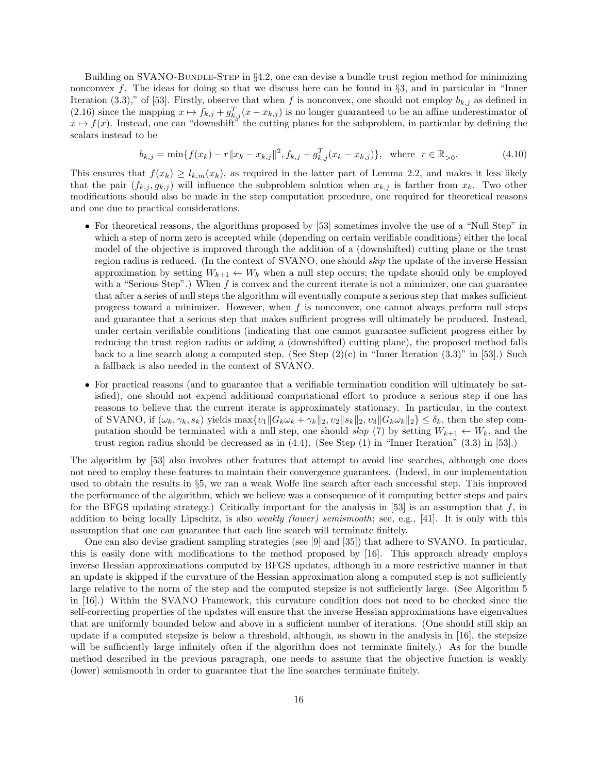Building on SVANO-BUNDLE-STEP in  $\S 4.2$ , one can devise a bundle trust region method for minimizing nonconvex f. The ideas for doing so that we discuss here can be found in  $\S3$ , and in particular in "Inner Iteration (3.3)," of [53]. Firstly, observe that when f is nonconvex, one should not employ  $b_{k,j}$  as defined in (2.16) since the mapping  $x \mapsto f_{k,j} + g_{k,j}^T(x - x_{k,j})$  is no longer guaranteed to be an affine underestimator of  $x \mapsto f(x)$ . Instead, one can "downshift" the cutting planes for the subproblem, in particular by defining the scalars instead to be

$$
b_{k,j} = \min\{f(x_k) - r \|x_k - x_{k,j}\|^2, f_{k,j} + g_{k,j}^T (x_k - x_{k,j})\}, \text{ where } r \in \mathbb{R}_{>0}.
$$
 (4.10)

This ensures that  $f(x_k) \geq l_{k,m}(x_k)$ , as required in the latter part of Lemma 2.2, and makes it less likely that the pair  $(f_{k,j}, g_{k,j})$  will influence the subproblem solution when  $x_{k,j}$  is farther from  $x_k$ . Two other modifications should also be made in the step computation procedure, one required for theoretical reasons and one due to practical considerations.

- For theoretical reasons, the algorithms proposed by [53] sometimes involve the use of a "Null Step" in which a step of norm zero is accepted while (depending on certain verifiable conditions) either the local model of the objective is improved through the addition of a (downshifted) cutting plane or the trust region radius is reduced. (In the context of SVANO, one should skip the update of the inverse Hessian approximation by setting  $W_{k+1} \leftarrow W_k$  when a null step occurs; the update should only be employed with a "Serious Step".) When  $f$  is convex and the current iterate is not a minimizer, one can guarantee that after a series of null steps the algorithm will eventually compute a serious step that makes sufficient progress toward a minimizer. However, when  $f$  is nonconvex, one cannot always perform null steps and guarantee that a serious step that makes sufficient progress will ultimately be produced. Instead, under certain verifiable conditions (indicating that one cannot guarantee sufficient progress either by reducing the trust region radius or adding a (downshifted) cutting plane), the proposed method falls back to a line search along a computed step. (See Step  $(2)(c)$  in "Inner Iteration  $(3.3)$ " in [53].) Such a fallback is also needed in the context of SVANO.
- For practical reasons (and to guarantee that a verifiable termination condition will ultimately be satisfied), one should not expend additional computational effort to produce a serious step if one has reasons to believe that the current iterate is approximately stationary. In particular, in the context of SVANO, if  $(\omega_k, \gamma_k, s_k)$  yields  $\max\{v_1\|G_k\omega_k + \gamma_k\|_2, v_2\|s_k\|_2, v_3\|G_k\omega_k\|_2\} \leq \delta_k$ , then the step computation should be terminated with a null step, one should skip (7) by setting  $W_{k+1} \leftarrow W_k$ , and the trust region radius should be decreased as in (4.4). (See Step (1) in "Inner Iteration" (3.3) in [53].)

The algorithm by [53] also involves other features that attempt to avoid line searches, although one does not need to employ these features to maintain their convergence guarantees. (Indeed, in our implementation used to obtain the results in §5, we ran a weak Wolfe line search after each successful step. This improved the performance of the algorithm, which we believe was a consequence of it computing better steps and pairs for the BFGS updating strategy.) Critically important for the analysis in [53] is an assumption that  $f$ , in addition to being locally Lipschitz, is also *weakly (lower) semismooth*; see, e.g., [41]. It is only with this assumption that one can guarantee that each line search will terminate finitely.

One can also devise gradient sampling strategies (see [9] and [35]) that adhere to SVANO. In particular, this is easily done with modifications to the method proposed by [16]. This approach already employs inverse Hessian approximations computed by BFGS updates, although in a more restrictive manner in that an update is skipped if the curvature of the Hessian approximation along a computed step is not sufficiently large relative to the norm of the step and the computed stepsize is not sufficiently large. (See Algorithm 5 in [16].) Within the SVANO Framework, this curvature condition does not need to be checked since the self-correcting properties of the updates will ensure that the inverse Hessian approximations have eigenvalues that are uniformly bounded below and above in a sufficient number of iterations. (One should still skip an update if a computed stepsize is below a threshold, although, as shown in the analysis in [16], the stepsize will be sufficiently large infinitely often if the algorithm does not terminate finitely.) As for the bundle method described in the previous paragraph, one needs to assume that the objective function is weakly (lower) semismooth in order to guarantee that the line searches terminate finitely.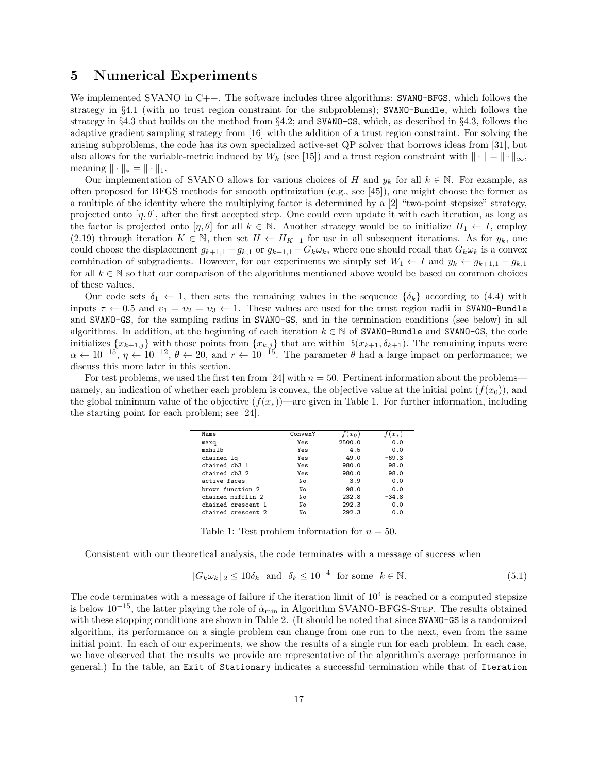### 5 Numerical Experiments

We implemented SVANO in C++. The software includes three algorithms: SVANO-BFGS, which follows the strategy in §4.1 (with no trust region constraint for the subproblems); SVANO-Bundle, which follows the strategy in §4.3 that builds on the method from §4.2; and SVANO-GS, which, as described in §4.3, follows the adaptive gradient sampling strategy from [16] with the addition of a trust region constraint. For solving the arising subproblems, the code has its own specialized active-set QP solver that borrows ideas from [31], but also allows for the variable-metric induced by  $W_k$  (see [15]) and a trust region constraint with  $\|\cdot\| = \|\cdot\|_{\infty}$ , meaning  $\|\cdot\|_* = \|\cdot\|_1$ .

Our implementation of SVANO allows for various choices of  $\overline{H}$  and  $y_k$  for all  $k \in \mathbb{N}$ . For example, as often proposed for BFGS methods for smooth optimization (e.g., see [45]), one might choose the former as a multiple of the identity where the multiplying factor is determined by a [2] "two-point stepsize" strategy, projected onto  $[\eta, \theta]$ , after the first accepted step. One could even update it with each iteration, as long as the factor is projected onto  $[\eta, \theta]$  for all  $k \in \mathbb{N}$ . Another strategy would be to initialize  $H_1 \leftarrow I$ , employ (2.19) through iteration  $K \in \mathbb{N}$ , then set  $\overline{H} \leftarrow H_{K+1}$  for use in all subsequent iterations. As for  $y_k$ , one could choose the displacement  $g_{k+1,1} - g_{k,1}$  or  $g_{k+1,1} - G_k \omega_k$ , where one should recall that  $G_k \omega_k$  is a convex combination of subgradients. However, for our experiments we simply set  $W_1 \leftarrow I$  and  $y_k \leftarrow g_{k+1,1} - g_{k,1}$ for all  $k \in \mathbb{N}$  so that our comparison of the algorithms mentioned above would be based on common choices of these values.

Our code sets  $\delta_1 \leftarrow 1$ , then sets the remaining values in the sequence  $\{\delta_k\}$  according to (4.4) with inputs  $\tau \leftarrow 0.5$  and  $v_1 = v_2 = v_3 \leftarrow 1$ . These values are used for the trust region radii in SVANO-Bundle and SVANO-GS, for the sampling radius in SVANO-GS, and in the termination conditions (see below) in all algorithms. In addition, at the beginning of each iteration  $k \in \mathbb{N}$  of SVANO-Bundle and SVANO-GS, the code initializes  $\{x_{k+1,j}\}$  with those points from  $\{x_{k,j}\}$  that are within  $\mathbb{B}(x_{k+1}, \delta_{k+1})$ . The remaining inputs were  $\alpha \leftarrow 10^{-15}, \eta \leftarrow 10^{-12}, \theta \leftarrow 20$ , and  $r \leftarrow 10^{-15}$ . The parameter  $\theta$  had a large impact on performance; we discuss this more later in this section.

For test problems, we used the first ten from [24] with  $n = 50$ . Pertinent information about the problems namely, an indication of whether each problem is convex, the objective value at the initial point  $(f(x_0))$ , and the global minimum value of the objective  $(f(x_*))$ —are given in Table 1. For further information, including the starting point for each problem; see [24].

| Name               | Convex? | $(x_0$ | $x_*$   |
|--------------------|---------|--------|---------|
| maxq               | Yes     | 2500.0 | 0.0     |
| mxhilb             | Yes     | 4.5    | 0.0     |
| chained lq         | Yes     | 49.0   | $-69.3$ |
| chained ch3 1      | Yes     | 980.0  | 98.0    |
| chained ch3 2      | Yes     | 980.0  | 98.0    |
| active faces       | No      | 3.9    | 0.0     |
| brown function 2   | No      | 98.0   | 0.0     |
| chained mifflin 2  | No      | 232.8  | $-34.8$ |
| chained crescent 1 | No      | 292.3  | 0.0     |
| chained crescent 2 | No      | 292.3  | 0.0     |

Table 1: Test problem information for  $n = 50$ .

Consistent with our theoretical analysis, the code terminates with a message of success when

$$
||G_k \omega_k||_2 \le 10\delta_k \text{ and } \delta_k \le 10^{-4} \text{ for some } k \in \mathbb{N}.
$$
 (5.1)

The code terminates with a message of failure if the iteration limit of  $10^4$  is reached or a computed stepsize is below  $10^{-15}$ , the latter playing the role of  $\tilde{\alpha}_{\rm min}$  in Algorithm SVANO-BFGS-STEP. The results obtained with these stopping conditions are shown in Table 2. (It should be noted that since SVANO-GS is a randomized algorithm, its performance on a single problem can change from one run to the next, even from the same initial point. In each of our experiments, we show the results of a single run for each problem. In each case, we have observed that the results we provide are representative of the algorithm's average performance in general.) In the table, an Exit of Stationary indicates a successful termination while that of Iteration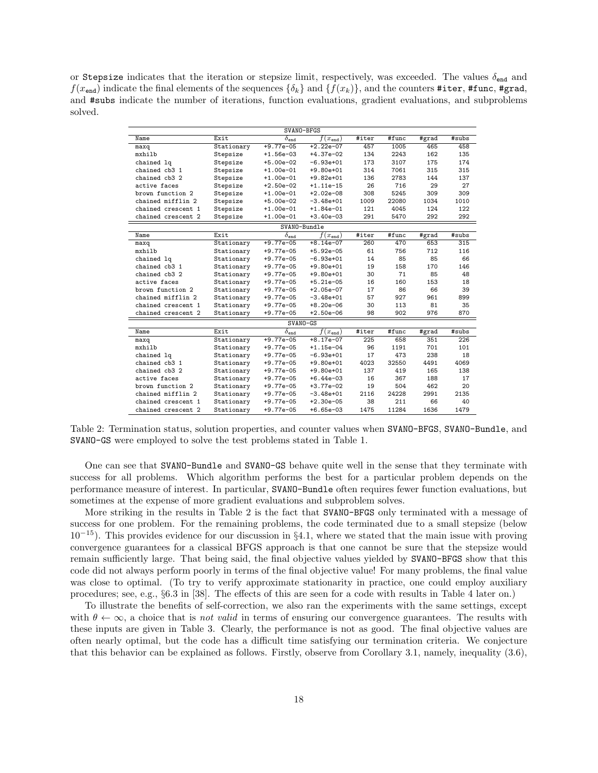or Stepsize indicates that the iteration or stepsize limit, respectively, was exceeded. The values  $\delta_{end}$  and  $f(x<sub>end</sub>)$  indicate the final elements of the sequences  $\{\delta_k\}$  and  $\{f(x_k)\}$ , and the counters #iter, #func, #grad, and #subs indicate the number of iterations, function evaluations, gradient evaluations, and subproblems solved.

|                    |              | SVANO-BFGS                         |                                |       |       |       |       |  |  |  |
|--------------------|--------------|------------------------------------|--------------------------------|-------|-------|-------|-------|--|--|--|
| Name               | Exit         | $\delta_{end}$                     | $\overline{f(x_{\text{end}})}$ | #iter | #func | #grad | #subs |  |  |  |
| maxq               | Stationary   | $+9.77e-05$                        | $+2.22e-07$                    | 457   | 1005  | 465   | 458   |  |  |  |
| mxhilb             | Stepsize     | $+1.56e-03$                        | $+4.37e-02$                    | 134   | 2243  | 162   | 135   |  |  |  |
| chained lq         | Stepsize     | $+5.00e-02$                        | $-6.93e+01$                    | 173   | 3107  | 175   | 174   |  |  |  |
| chained cb3 1      | Stepsize     | $+1.00e-01$                        | $+9.80e+01$                    | 314   | 7061  | 315   | 315   |  |  |  |
| chained cb3 2      | Stepsize     | $+1.00e-01$                        | $+9.82e+01$                    | 136   | 2783  | 144   | 137   |  |  |  |
| active faces       | Stepsize     | $+2.50e-02$                        | $+1.11e-15$                    | 26    | 716   | 29    | 27    |  |  |  |
| brown function 2   | Stepsize     | $+1.00e-01$                        | $+2.02e-08$                    | 308   | 5245  | 309   | 309   |  |  |  |
| chained mifflin 2  | Stepsize     | $+5.00e-02$                        | $-3.48e+01$                    | 1009  | 22080 | 1034  | 1010  |  |  |  |
| chained crescent 1 | Stepsize     | $+1.00e-01$                        | $+1.84e-01$                    | 121   | 4045  | 124   | 122   |  |  |  |
| chained crescent 2 | Stepsize     | $+1.00e-01$                        | $+3.40e-03$                    | 291   | 5470  | 292   | 292   |  |  |  |
|                    | SVANO-Bundle |                                    |                                |       |       |       |       |  |  |  |
| Name               | Exit         | $\overline{\delta_{\texttt{end}}}$ | $f(x_{end})$                   | #iter | #func | #grad | #subs |  |  |  |
| maxq               | Stationary   | $+9.77e-05$                        | $+8.14e-07$                    | 260   | 470   | 653   | 315   |  |  |  |
| mxhilb             | Stationary   | $+9.77e-05$                        | $+5.92e-05$                    | 61    | 756   | 712   | 116   |  |  |  |
| chained lq         | Stationary   | $+9.77e-05$                        | $-6.93e+01$                    | 14    | 85    | 85    | 66    |  |  |  |
| chained cb3 1      | Stationary   | $+9.77e-05$                        | $+9.80e+01$                    | 19    | 158   | 170   | 146   |  |  |  |
| chained cb3 2      | Stationary   | $+9.77e-05$                        | $+9.80e+01$                    | 30    | 71    | 85    | 48    |  |  |  |
| active faces       | Stationary   | $+9.77e-05$                        | $+5.21e-05$                    | 16    | 160   | 153   | 18    |  |  |  |
| brown function 2   | Stationary   | $+9.77e-05$                        | $+2.05e-07$                    | 17    | 86    | 66    | 39    |  |  |  |
| chained mifflin 2  | Stationary   | $+9.77e-05$                        | $-3.48e+01$                    | 57    | 927   | 961   | 899   |  |  |  |
| chained crescent 1 | Stationary   | $+9.77e-05$                        | $+8.20e-06$                    | 30    | 113   | 81    | 35    |  |  |  |
| chained crescent 2 | Stationary   | $+9.77e-05$                        | $+2.50e-06$                    | 98    | 902   | 976   | 870   |  |  |  |
|                    |              | SVANO-GS                           |                                |       |       |       |       |  |  |  |
| Name               | Exit         | $\overline{\delta}_{\mathrm{end}}$ | $f(x_{end})$                   | #iter | #func | #grad | #subs |  |  |  |
| maxq               | Stationary   | $+9.77e-05$                        | $+8.17e-07$                    | 225   | 658   | 351   | 226   |  |  |  |
| mxhilb             | Stationary   | $+9.77e-05$                        | $+1.15e-04$                    | 96    | 1191  | 701   | 101   |  |  |  |
| chained lq         | Stationary   | $+9.77e-05$                        | $-6.93e+01$                    | 17    | 473   | 238   | 18    |  |  |  |
| chained cb3 1      | Stationary   | $+9.77e-05$                        | $+9.80e+01$                    | 4023  | 32550 | 4491  | 4069  |  |  |  |
| chained cb3 2      | Stationary   | $+9.77e-05$                        | $+9.80e+01$                    | 137   | 419   | 165   | 138   |  |  |  |
| active faces       | Stationary   | $+9.77e-05$                        | $+6.44e-03$                    | 16    | 367   | 188   | 17    |  |  |  |
| brown function 2   | Stationary   | $+9.77e-05$                        | $+3.77e-02$                    | 19    | 504   | 462   | 20    |  |  |  |
| chained mifflin 2  | Stationary   | $+9.77e-05$                        | $-3.48e+01$                    | 2116  | 24228 | 2991  | 2135  |  |  |  |
| chained crescent 1 | Stationary   | $+9.77e-05$                        | $+2.30e-05$                    | 38    | 211   | 66    | 40    |  |  |  |
| chained crescent 2 | Stationary   | $+9.77e-05$                        | $+6.65e-03$                    | 1475  | 11284 | 1636  | 1479  |  |  |  |

Table 2: Termination status, solution properties, and counter values when SVANO-BFGS, SVANO-Bundle, and SVANO-GS were employed to solve the test problems stated in Table 1.

One can see that SVANO-Bundle and SVANO-GS behave quite well in the sense that they terminate with success for all problems. Which algorithm performs the best for a particular problem depends on the performance measure of interest. In particular, SVANO-Bundle often requires fewer function evaluations, but sometimes at the expense of more gradient evaluations and subproblem solves.

More striking in the results in Table 2 is the fact that SVANO-BFGS only terminated with a message of success for one problem. For the remaining problems, the code terminated due to a small stepsize (below  $10^{-15}$ ). This provides evidence for our discussion in §4.1, where we stated that the main issue with proving convergence guarantees for a classical BFGS approach is that one cannot be sure that the stepsize would remain sufficiently large. That being said, the final objective values yielded by SVANO-BFGS show that this code did not always perform poorly in terms of the final objective value! For many problems, the final value was close to optimal. (To try to verify approximate stationarity in practice, one could employ auxiliary procedures; see, e.g., §6.3 in [38]. The effects of this are seen for a code with results in Table 4 later on.)

To illustrate the benefits of self-correction, we also ran the experiments with the same settings, except with  $\theta \leftarrow \infty$ , a choice that is not valid in terms of ensuring our convergence guarantees. The results with these inputs are given in Table 3. Clearly, the performance is not as good. The final objective values are often nearly optimal, but the code has a difficult time satisfying our termination criteria. We conjecture that this behavior can be explained as follows. Firstly, observe from Corollary 3.1, namely, inequality (3.6),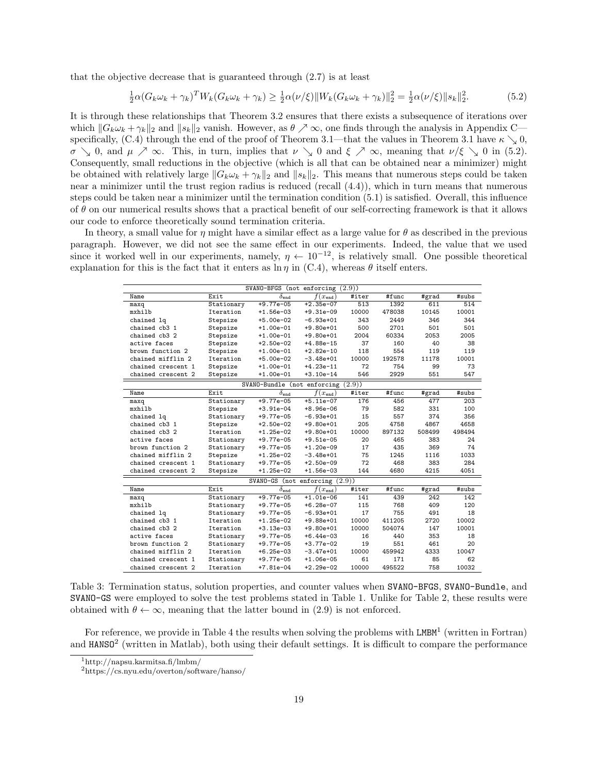that the objective decrease that is guaranteed through (2.7) is at least

$$
\frac{1}{2}\alpha(G_k\omega_k + \gamma_k)^T W_k(G_k\omega_k + \gamma_k) \ge \frac{1}{2}\alpha(\nu/\xi) \|W_k(G_k\omega_k + \gamma_k)\|_2^2 = \frac{1}{2}\alpha(\nu/\xi) \|s_k\|_2^2. \tag{5.2}
$$

It is through these relationships that Theorem 3.2 ensures that there exists a subsequence of iterations over which  $\|G_k\omega_k + \gamma_k\|_2$  and  $\|s_k\|_2$  vanish. However, as  $\theta \nearrow \infty$ , one finds through the analysis in Appendix C specifically, (C.4) through the end of the proof of Theorem 3.1—that the values in Theorem 3.1 have  $\kappa \searrow 0$ ,  $\sigma \searrow 0$ , and  $\mu \nearrow \infty$ . This, in turn, implies that  $\nu \searrow 0$  and  $\xi \nearrow \infty$ , meaning that  $\nu/\xi \searrow 0$  in (5.2). Consequently, small reductions in the objective (which is all that can be obtained near a minimizer) might be obtained with relatively large  $||G_k \omega_k + \gamma_k||_2$  and  $||s_k||_2$ . This means that numerous steps could be taken near a minimizer until the trust region radius is reduced (recall (4.4)), which in turn means that numerous steps could be taken near a minimizer until the termination condition (5.1) is satisfied. Overall, this influence of  $\theta$  on our numerical results shows that a practical benefit of our self-correcting framework is that it allows our code to enforce theoretically sound termination criteria.

In theory, a small value for  $\eta$  might have a similar effect as a large value for  $\theta$  as described in the previous paragraph. However, we did not see the same effect in our experiments. Indeed, the value that we used since it worked well in our experiments, namely,  $\eta \leftarrow 10^{-12}$ , is relatively small. One possible theoretical explanation for this is the fact that it enters as  $\ln \eta$  in (C.4), whereas  $\theta$  itself enters.

|                    |            | SVANO-BFGS (not enforcing $(2.9)$ ) |              |       |        |        |        |
|--------------------|------------|-------------------------------------|--------------|-------|--------|--------|--------|
| Name               | Exit       | $\overline{\delta_{\texttt{end}}}$  | $f(x_{end})$ | #iter | #func  | #grad  | #subs  |
| maxq               | Stationary | $+9.77e-05$                         | $+2.35e-07$  | 513   | 1392   | 611    | 514    |
| mxhilb             | Iteration  | $+1.56e-03$                         | $+9.31e-09$  | 10000 | 478038 | 10145  | 10001  |
| chained lq         | Stepsize   | $+5.00e-02$                         | $-6.93e+01$  | 343   | 2449   | 346    | 344    |
| chained cb3 1      | Stepsize   | $+1.00e-01$                         | $+9.80e+01$  | 500   | 2701   | 501    | 501    |
| chained cb3 2      | Stepsize   | $+1.00e-01$                         | $+9.80e+01$  | 2004  | 60334  | 2053   | 2005   |
| active faces       | Stepsize   | $+2.50e-02$                         | $+4.88e-15$  | 37    | 160    | 40     | 38     |
| brown function 2   | Stepsize   | $+1.00e-01$                         | $+2.82e-10$  | 118   | 554    | 119    | 119    |
| chained mifflin 2  | Iteration  | $+5.00e-02$                         | $-3.48e+01$  | 10000 | 192578 | 11178  | 10001  |
| chained crescent 1 | Stepsize   | $+1.00e-01$                         | $+4.23e-11$  | 72    | 754    | 99     | 73     |
| chained crescent 2 | Stepsize   | $+1.00e-01$                         | $+3.10e-14$  | 546   | 2929   | 551    | 547    |
|                    |            | SVANO-Bundle (not enforcing         |              | (2.9) |        |        |        |
| Name               | Exit       | $\delta_{\text{end}}$               | $f(x_{end})$ | #iter | #func  | #grad  | #subs  |
| maxq               | Stationary | $+9.77e-05$                         | $+5.11e-07$  | 176   | 456    | 477    | 203    |
| mxhilb             | Stepsize   | $+3.91e-04$                         | $+8.96e-06$  | 79    | 582    | 331    | 100    |
| chained lq         | Stationary | $+9.77e-05$                         | $-6.93e+01$  | 15    | 557    | 374    | 356    |
| chained cb3 1      | Stepsize   | $+2.50e-02$                         | $+9.80e+01$  | 205   | 4758   | 4867   | 4658   |
| chained cb3 2      | Iteration  | $+1.25e-02$                         | $+9.80e+01$  | 10000 | 897132 | 508499 | 498494 |
| active faces       | Stationary | $+9.77e-05$                         | $+9.51e-05$  | 20    | 465    | 383    | 24     |
| brown function 2   | Stationary | $+9.77e-05$                         | $+1.20e-09$  | 17    | 435    | 369    | 74     |
| chained mifflin 2  | Stepsize   | $+1.25e-02$                         | $-3.48e+01$  | 75    | 1245   | 1116   | 1033   |
| chained crescent 1 | Stationary | $+9.77e-05$                         | $+2.50e-09$  | 72    | 468    | 383    | 284    |
| chained crescent 2 | Stepsize   | $+1.25e-02$                         | $+1.56e-03$  | 144   | 4680   | 4215   | 4051   |
|                    |            | SVANO-GS (not enforcing $(2.9)$ )   |              |       |        |        |        |
| Name               | Exit       | $\delta_{end}$                      | $f(x_{end})$ | #iter | #func  | #grad  | #subs  |
| maxq               | Stationary | $+9.77e-05$                         | $+1.01e-06$  | 141   | 439    | 242    | 142    |
| mxhilb             | Stationary | $+9.77e-05$                         | $+6.28e-07$  | 115   | 768    | 409    | 120    |
| chained lq         | Stationary | $+9.77e-05$                         | $-6.93e+01$  | 17    | 755    | 491    | 18     |
| chained cb3 1      | Iteration  | $+1.25e-02$                         | $+9.88e+01$  | 10000 | 411205 | 2720   | 10002  |
| chained cb3 2      | Iteration  | $+3.13e-03$                         | $+9.80e+01$  | 10000 | 504074 | 147    | 10001  |
| active faces       | Stationary | $+9.77e-05$                         | $+6.44e-03$  | 16    | 440    | 353    | 18     |
| brown function 2   | Stationary | $+9.77e-05$                         | $+3.77e-02$  | 19    | 551    | 461    | 20     |
| chained mifflin 2  | Iteration  | $+6.25e-03$                         | $-3.47e+01$  | 10000 | 459942 | 4333   | 10047  |
| chained crescent 1 | Stationary | $+9.77e-05$                         | $+1.06e-05$  | 61    | 171    | 85     | 62     |
| chained crescent 2 | Iteration  | $+7.81e-04$                         | $+2.29e-02$  | 10000 | 495522 | 758    | 10032  |

Table 3: Termination status, solution properties, and counter values when SVANO-BFGS, SVANO-Bundle, and SVANO-GS were employed to solve the test problems stated in Table 1. Unlike for Table 2, these results were obtained with  $\theta \leftarrow \infty$ , meaning that the latter bound in (2.9) is not enforced.

For reference, we provide in Table 4 the results when solving the problems with  $LMBM<sup>1</sup>$  (written in Fortran) and HANSO<sup>2</sup> (written in Matlab), both using their default settings. It is difficult to compare the performance

<sup>1</sup>http://napsu.karmitsa.fi/lmbm/

<sup>2</sup>https://cs.nyu.edu/overton/software/hanso/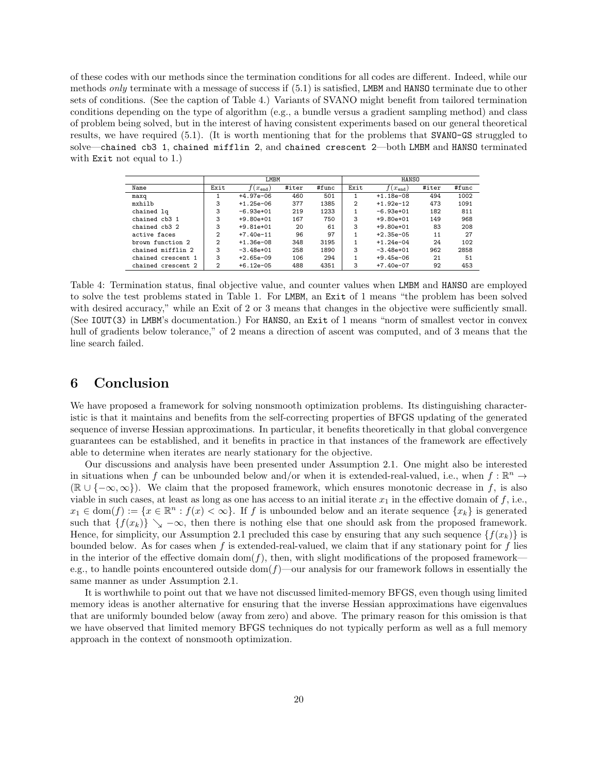of these codes with our methods since the termination conditions for all codes are different. Indeed, while our methods only terminate with a message of success if (5.1) is satisfied, LMBM and HANSO terminate due to other sets of conditions. (See the caption of Table 4.) Variants of SVANO might benefit from tailored termination conditions depending on the type of algorithm (e.g., a bundle versus a gradient sampling method) and class of problem being solved, but in the interest of having consistent experiments based on our general theoretical results, we have required (5.1). (It is worth mentioning that for the problems that SVANO-GS struggled to solve—chained cb3 1, chained mifflin 2, and chained crescent 2—both LMBM and HANSO terminated with Exit not equal to 1.)

|                    | LMBM         |             |       |       | HANSO          |              |       |       |
|--------------------|--------------|-------------|-------|-------|----------------|--------------|-------|-------|
| Name               | Exit         | $(x_{end})$ | #iter | #func | Exit           | $f(x_{end})$ | #iter | #func |
| maxq               |              | $+4.97e-06$ | 460   | 501   |                | $+1.18e-08$  | 494   | 1002  |
| mxhilb             | 3            | $+1.25e-06$ | 377   | 1385  | $\overline{2}$ | $+1.92e-12$  | 473   | 1091  |
| chained lg         | 3            | $-6.93e+01$ | 219   | 1233  |                | $-6.93e+01$  | 182   | 811   |
| chained cb3 1      | 3            | $+9.80e+01$ | 167   | 750   | 3              | $+9.80e+01$  | 149   | 968   |
| chained cb3 2      | 3            | $+9.81e+01$ | 20    | 61    | 3              | $+9.80e+01$  | 83    | 208   |
| active faces       | $\mathbf{2}$ | $+7.40e-11$ | 96    | 97    |                | $+2.35e-05$  | 11    | 27    |
| brown function 2   | $\mathbf{2}$ | $+1.36e-08$ | 348   | 3195  |                | $+1.24e-04$  | 24    | 102   |
| chained mifflin 2  | 3            | $-3.48e+01$ | 258   | 1890  | 3              | $-3.48e+01$  | 962   | 2858  |
| chained crescent 1 | 3            | $+2.65e-09$ | 106   | 294   |                | $+9.45e-06$  | 21    | 51    |
| chained crescent 2 | $\mathbf{2}$ | $+6.12e-05$ | 488   | 4351  | 3              | $+7.40e-07$  | 92    | 453   |

Table 4: Termination status, final objective value, and counter values when LMBM and HANSO are employed to solve the test problems stated in Table 1. For LMBM, an Exit of 1 means "the problem has been solved with desired accuracy," while an Exit of 2 or 3 means that changes in the objective were sufficiently small. (See IOUT(3) in LMBM's documentation.) For HANSO, an Exit of 1 means "norm of smallest vector in convex hull of gradients below tolerance," of 2 means a direction of ascent was computed, and of 3 means that the line search failed.

## 6 Conclusion

We have proposed a framework for solving nonsmooth optimization problems. Its distinguishing characteristic is that it maintains and benefits from the self-correcting properties of BFGS updating of the generated sequence of inverse Hessian approximations. In particular, it benefits theoretically in that global convergence guarantees can be established, and it benefits in practice in that instances of the framework are effectively able to determine when iterates are nearly stationary for the objective.

Our discussions and analysis have been presented under Assumption 2.1. One might also be interested in situations when f can be unbounded below and/or when it is extended-real-valued, i.e., when  $f : \mathbb{R}^n \to$  $(\mathbb{R} \cup \{-\infty, \infty\})$ . We claim that the proposed framework, which ensures monotonic decrease in f, is also viable in such cases, at least as long as one has access to an initial iterate  $x_1$  in the effective domain of f, i.e.,  $x_1 \in \text{dom}(f) := \{x \in \mathbb{R}^n : f(x) < \infty\}.$  If f is unbounded below and an iterate sequence  $\{x_k\}$  is generated such that  $\{f(x_k)\}\searrow -\infty$ , then there is nothing else that one should ask from the proposed framework. Hence, for simplicity, our Assumption 2.1 precluded this case by ensuring that any such sequence  $\{f(x_k)\}\$ is bounded below. As for cases when f is extended-real-valued, we claim that if any stationary point for f lies in the interior of the effective domain  $dom(f)$ , then, with slight modifications of the proposed framework e.g., to handle points encountered outside  $dom(f)$ —our analysis for our framework follows in essentially the same manner as under Assumption 2.1.

It is worthwhile to point out that we have not discussed limited-memory BFGS, even though using limited memory ideas is another alternative for ensuring that the inverse Hessian approximations have eigenvalues that are uniformly bounded below (away from zero) and above. The primary reason for this omission is that we have observed that limited memory BFGS techniques do not typically perform as well as a full memory approach in the context of nonsmooth optimization.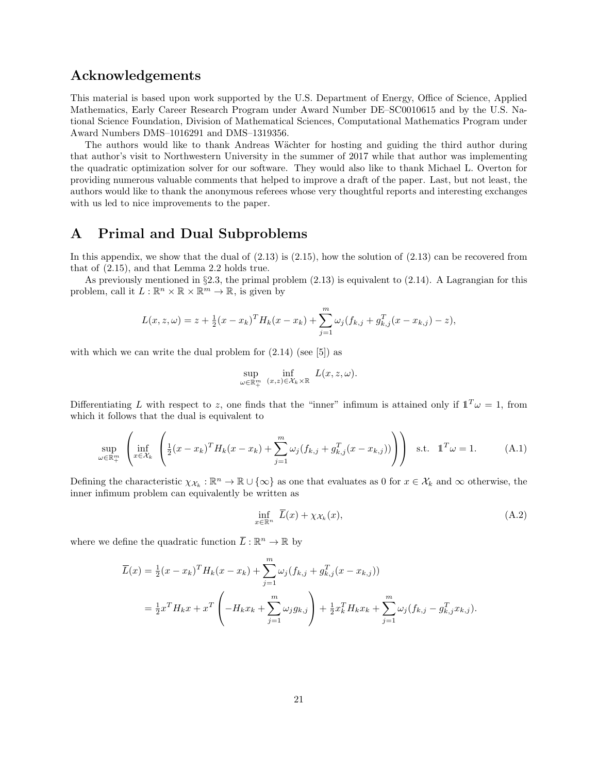### Acknowledgements

This material is based upon work supported by the U.S. Department of Energy, Office of Science, Applied Mathematics, Early Career Research Program under Award Number DE–SC0010615 and by the U.S. National Science Foundation, Division of Mathematical Sciences, Computational Mathematics Program under Award Numbers DMS–1016291 and DMS–1319356.

The authors would like to thank Andreas Wächter for hosting and guiding the third author during that author's visit to Northwestern University in the summer of 2017 while that author was implementing the quadratic optimization solver for our software. They would also like to thank Michael L. Overton for providing numerous valuable comments that helped to improve a draft of the paper. Last, but not least, the authors would like to thank the anonymous referees whose very thoughtful reports and interesting exchanges with us led to nice improvements to the paper.

## A Primal and Dual Subproblems

In this appendix, we show that the dual of  $(2.13)$  is  $(2.15)$ , how the solution of  $(2.13)$  can be recovered from that of (2.15), and that Lemma 2.2 holds true.

As previously mentioned in  $\S 2.3$ , the primal problem  $(2.13)$  is equivalent to  $(2.14)$ . A Lagrangian for this problem, call it  $L : \mathbb{R}^n \times \mathbb{R} \times \mathbb{R}^m \to \mathbb{R}$ , is given by

$$
L(x, z, \omega) = z + \frac{1}{2}(x - x_k)^T H_k(x - x_k) + \sum_{j=1}^m \omega_j (f_{k,j} + g_{k,j}^T (x - x_{k,j}) - z),
$$

with which we can write the dual problem for  $(2.14)$  (see [5]) as

$$
\sup_{\omega \in \mathbb{R}^m_+} \inf_{(x,z) \in \mathcal{X}_k \times \mathbb{R}} L(x,z,\omega).
$$

Differentiating L with respect to z, one finds that the "inner" infimum is attained only if  $\mathbb{1}^T\omega = 1$ , from which it follows that the dual is equivalent to

$$
\sup_{\omega \in \mathbb{R}_+^m} \left( \inf_{x \in \mathcal{X}_k} \left( \frac{1}{2} (x - x_k)^T H_k (x - x_k) + \sum_{j=1}^m \omega_j (f_{k,j} + g_{k,j}^T (x - x_{k,j})) \right) \right) \text{ s.t. } \mathbb{1}^T \omega = 1. \tag{A.1}
$$

Defining the characteristic  $\chi_{\mathcal{X}_k} : \mathbb{R}^n \to \mathbb{R} \cup \{\infty\}$  as one that evaluates as 0 for  $x \in \mathcal{X}_k$  and  $\infty$  otherwise, the inner infimum problem can equivalently be written as

$$
\inf_{x \in \mathbb{R}^n} \ \overline{L}(x) + \chi_{\mathcal{X}_k}(x),\tag{A.2}
$$

where we define the quadratic function  $\overline{L}: \mathbb{R}^n \to \mathbb{R}$  by

$$
\overline{L}(x) = \frac{1}{2}(x - x_k)^T H_k(x - x_k) + \sum_{j=1}^m \omega_j (f_{k,j} + g_{k,j}^T (x - x_{k,j}))
$$
\n
$$
= \frac{1}{2} x^T H_k x + x^T \left( -H_k x_k + \sum_{j=1}^m \omega_j g_{k,j} \right) + \frac{1}{2} x_k^T H_k x_k + \sum_{j=1}^m \omega_j (f_{k,j} - g_{k,j}^T x_{k,j}).
$$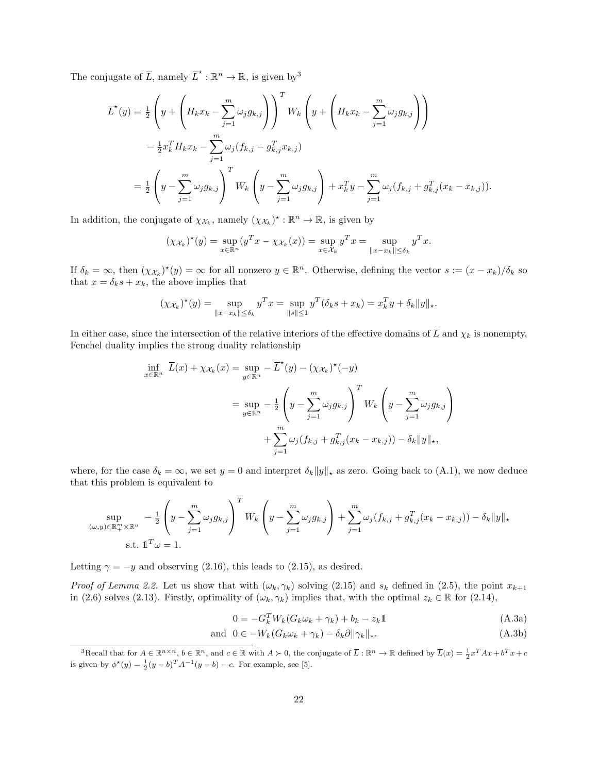The conjugate of  $\overline{L}$ , namely  $\overline{L}^* : \mathbb{R}^n \to \mathbb{R}$ , is given by <sup>3</sup>

$$
\overline{L}^{\star}(y) = \frac{1}{2} \left( y + \left( H_k x_k - \sum_{j=1}^m \omega_j g_{k,j} \right) \right)^T W_k \left( y + \left( H_k x_k - \sum_{j=1}^m \omega_j g_{k,j} \right) \right)
$$
  

$$
- \frac{1}{2} x_k^T H_k x_k - \sum_{j=1}^m \omega_j (f_{k,j} - g_{k,j}^T x_{k,j})
$$
  

$$
= \frac{1}{2} \left( y - \sum_{j=1}^m \omega_j g_{k,j} \right)^T W_k \left( y - \sum_{j=1}^m \omega_j g_{k,j} \right) + x_k^T y - \sum_{j=1}^m \omega_j (f_{k,j} + g_{k,j}^T (x_k - x_{k,j})).
$$

In addition, the conjugate of  $\chi_{\mathcal{X}_k}$ , namely  $(\chi_{\mathcal{X}_k})^* : \mathbb{R}^n \to \mathbb{R}$ , is given by

$$
(\chi_{\mathcal{X}_k})^*(y) = \sup_{x \in \mathbb{R}^n} (y^T x - \chi_{\mathcal{X}_k}(x)) = \sup_{x \in \mathcal{X}_k} y^T x = \sup_{\|x - x_k\| \le \delta_k} y^T x.
$$

If  $\delta_k = \infty$ , then  $(\chi_{\mathcal{X}_k})^*(y) = \infty$  for all nonzero  $y \in \mathbb{R}^n$ . Otherwise, defining the vector  $s := (x - x_k)/\delta_k$  so that  $x = \delta_k s + x_k$ , the above implies that

$$
(\chi_{\mathcal{X}_k})^*(y) = \sup_{\|x - x_k\| \le \delta_k} y^T x = \sup_{\|s\| \le 1} y^T (\delta_k s + x_k) = x_k^T y + \delta_k \|y\|_{\star}.
$$

In either case, since the intersection of the relative interiors of the effective domains of  $\overline{L}$  and  $\chi_k$  is nonempty, Fenchel duality implies the strong duality relationship

$$
\inf_{x \in \mathbb{R}^n} \overline{L}(x) + \chi_{\mathcal{X}_k}(x) = \sup_{y \in \mathbb{R}^n} -\overline{L}^{\star}(y) - (\chi_{\mathcal{X}_k})^{\star}(-y)
$$

$$
= \sup_{y \in \mathbb{R}^n} -\frac{1}{2} \left( y - \sum_{j=1}^m \omega_j g_{k,j} \right)^T W_k \left( y - \sum_{j=1}^m \omega_j g_{k,j} \right)
$$

$$
+ \sum_{j=1}^m \omega_j (f_{k,j} + g_{k,j}^T (x_k - x_{k,j})) - \delta_k ||y||_{\star},
$$

where, for the case  $\delta_k = \infty$ , we set  $y = 0$  and interpret  $\delta_k ||y||_*$  as zero. Going back to (A.1), we now deduce that this problem is equivalent to

$$
\sup_{(\omega,y)\in\mathbb{R}_+^m\times\mathbb{R}^n} -\frac{1}{2}\left(y-\sum_{j=1}^m\omega_jg_{k,j}\right)^TW_k\left(y-\sum_{j=1}^m\omega_jg_{k,j}\right)+\sum_{j=1}^m\omega_j(f_{k,j}+g_{k,j}^T(x_k-x_{k,j}))-\delta_k\|y\|_{\star}
$$
  
s.t.  $\mathbf{1}^T\omega=1$ .

Letting  $\gamma = -y$  and observing (2.16), this leads to (2.15), as desired.

*Proof of Lemma 2.2.* Let us show that with  $(\omega_k, \gamma_k)$  solving (2.15) and  $s_k$  defined in (2.5), the point  $x_{k+1}$ in (2.6) solves (2.13). Firstly, optimality of  $(\omega_k, \gamma_k)$  implies that, with the optimal  $z_k \in \mathbb{R}$  for (2.14),

$$
0 = -G_k^T W_k (G_k \omega_k + \gamma_k) + b_k - z_k \mathbb{1}
$$
\n(A.3a)

$$
\text{and } 0 \in -W_k(G_k \omega_k + \gamma_k) - \delta_k \partial \|\gamma_k\|_*.
$$
\n
$$
(A.3b)
$$

<sup>&</sup>lt;sup>3</sup>Recall that for  $A \in \mathbb{R}^{n \times n}$ ,  $b \in \mathbb{R}^n$ , and  $c \in \mathbb{R}$  with  $A \succ 0$ , the conjugate of  $\overline{L} : \mathbb{R}^n \to \mathbb{R}$  defined by  $\overline{L}(x) = \frac{1}{2}x^T A x + b^T x + c$ is given by  $\phi^*(y) = \frac{1}{2}(y - b)^T A^{-1}(y - b) - c$ . For example, see [5].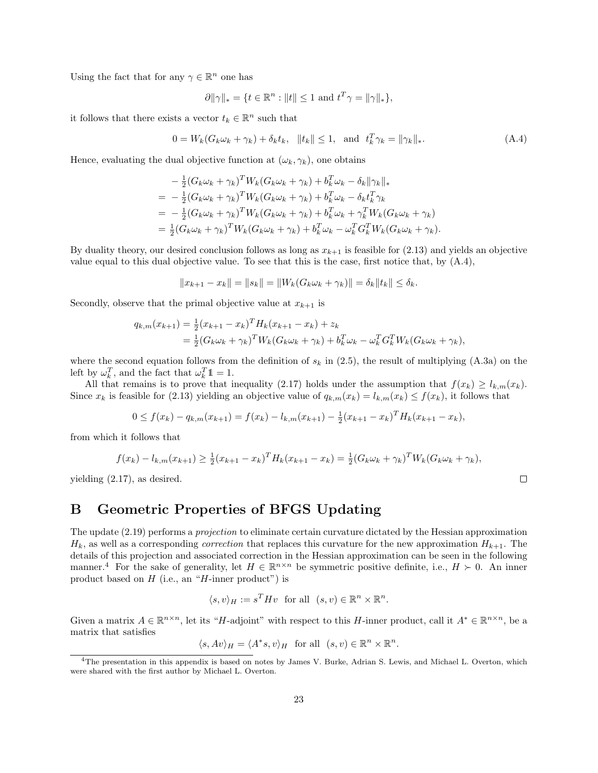Using the fact that for any  $\gamma \in \mathbb{R}^n$  one has

$$
\partial ||\gamma||_* = \{ t \in \mathbb{R}^n : ||t|| \le 1 \text{ and } t^T \gamma = ||\gamma||_* \},\
$$

it follows that there exists a vector  $t_k \in \mathbb{R}^n$  such that

$$
0 = W_k(G_k \omega_k + \gamma_k) + \delta_k t_k, \|t_k\| \le 1, \text{ and } t_k^T \gamma_k = \|\gamma_k\|_*.
$$
 (A.4)

Hence, evaluating the dual objective function at  $(\omega_k, \gamma_k)$ , one obtains

$$
- \frac{1}{2} (G_k \omega_k + \gamma_k)^T W_k (G_k \omega_k + \gamma_k) + b_k^T \omega_k - \delta_k ||\gamma_k||_*= - \frac{1}{2} (G_k \omega_k + \gamma_k)^T W_k (G_k \omega_k + \gamma_k) + b_k^T \omega_k - \delta_k t_k^T \gamma_k= - \frac{1}{2} (G_k \omega_k + \gamma_k)^T W_k (G_k \omega_k + \gamma_k) + b_k^T \omega_k + \gamma_k^T W_k (G_k \omega_k + \gamma_k)= \frac{1}{2} (G_k \omega_k + \gamma_k)^T W_k (G_k \omega_k + \gamma_k) + b_k^T \omega_k - \omega_k^T G_k^T W_k (G_k \omega_k + \gamma_k).
$$

By duality theory, our desired conclusion follows as long as  $x_{k+1}$  is feasible for (2.13) and yields an objective value equal to this dual objective value. To see that this is the case, first notice that, by  $(A.4)$ ,

$$
||x_{k+1} - x_k|| = ||s_k|| = ||W_k(G_k \omega_k + \gamma_k)|| = \delta_k ||t_k|| \le \delta_k.
$$

Secondly, observe that the primal objective value at  $x_{k+1}$  is

$$
q_{k,m}(x_{k+1}) = \frac{1}{2}(x_{k+1} - x_k)^T H_k(x_{k+1} - x_k) + z_k
$$
  
= 
$$
\frac{1}{2}(G_k \omega_k + \gamma_k)^T W_k(G_k \omega_k + \gamma_k) + b_k^T \omega_k - \omega_k^T G_k^T W_k(G_k \omega_k + \gamma_k),
$$

where the second equation follows from the definition of  $s_k$  in (2.5), the result of multiplying (A.3a) on the left by  $\omega_k^T$ , and the fact that  $\omega_k^T \mathbb{1} = 1$ .

All that remains is to prove that inequality (2.17) holds under the assumption that  $f(x_k) \geq l_{k,m}(x_k)$ . Since  $x_k$  is feasible for (2.13) yielding an objective value of  $q_{k,m}(x_k) = l_{k,m}(x_k) \le f(x_k)$ , it follows that

$$
0 \le f(x_k) - q_{k,m}(x_{k+1}) = f(x_k) - l_{k,m}(x_{k+1}) - \frac{1}{2}(x_{k+1} - x_k)^T H_k(x_{k+1} - x_k),
$$

from which it follows that

$$
f(x_k) - l_{k,m}(x_{k+1}) \ge \frac{1}{2}(x_{k+1} - x_k)^T H_k(x_{k+1} - x_k) = \frac{1}{2}(G_k \omega_k + \gamma_k)^T W_k(G_k \omega_k + \gamma_k),
$$

yielding (2.17), as desired.

## B Geometric Properties of BFGS Updating

The update (2.19) performs a projection to eliminate certain curvature dictated by the Hessian approximation  $H_k$ , as well as a corresponding *correction* that replaces this curvature for the new approximation  $H_{k+1}$ . The details of this projection and associated correction in the Hessian approximation can be seen in the following manner.<sup>4</sup> For the sake of generality, let  $H \in \mathbb{R}^{n \times n}$  be symmetric positive definite, i.e.,  $H \succ 0$ . An inner product based on  $H$  (i.e., an " $H$ -inner product") is

$$
\langle s, v \rangle_H := s^T H v \text{ for all } (s, v) \in \mathbb{R}^n \times \mathbb{R}^n.
$$

Given a matrix  $A \in \mathbb{R}^{n \times n}$ , let its "H-adjoint" with respect to this H-inner product, call it  $A^* \in \mathbb{R}^{n \times n}$ , be a matrix that satisfies

 $\langle s, Av \rangle_H = \langle A^* s, v \rangle_H$  for all  $(s, v) \in \mathbb{R}^n \times \mathbb{R}^n$ .

<sup>4</sup>The presentation in this appendix is based on notes by James V. Burke, Adrian S. Lewis, and Michael L. Overton, which were shared with the first author by Michael L. Overton.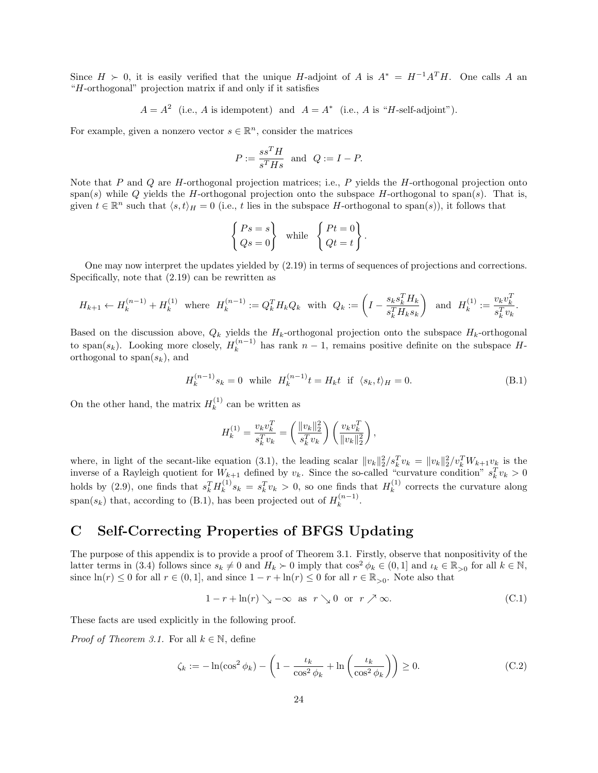Since  $H \succ 0$ , it is easily verified that the unique H-adjoint of A is  $A^* = H^{-1}A^T H$ . One calls A an "H-orthogonal" projection matrix if and only if it satisfies

$$
A = A^2
$$
 (i.e., A is idempotent) and  $A = A^*$  (i.e., A is "H-self-adjoint").

For example, given a nonzero vector  $s \in \mathbb{R}^n$ , consider the matrices

$$
P:=\frac{ss^TH}{s^THs}\ \ \text{and}\ \ Q:=I-P.
$$

Note that  $P$  and  $Q$  are  $H$ -orthogonal projection matrices; i.e.,  $P$  yields the  $H$ -orthogonal projection onto span(s) while Q yields the H-orthogonal projection onto the subspace H-orthogonal to span(s). That is, given  $t \in \mathbb{R}^n$  such that  $\langle s, t \rangle_H = 0$  (i.e., t lies in the subspace H-orthogonal to span(s)), it follows that

$$
\begin{Bmatrix} Ps = s \\ Qs = 0 \end{Bmatrix} \text{ while } \begin{Bmatrix} Pt = 0 \\ Qt = t \end{Bmatrix}
$$

One may now interpret the updates yielded by (2.19) in terms of sequences of projections and corrections. Specifically, note that (2.19) can be rewritten as

$$
H_{k+1} \leftarrow H_k^{(n-1)} + H_k^{(1)}
$$
 where  $H_k^{(n-1)} := Q_k^T H_k Q_k$  with  $Q_k := \left( I - \frac{s_k s_k^T H_k}{s_k^T H_k s_k} \right)$  and  $H_k^{(1)} := \frac{v_k v_k^T}{s_k^T v_k}$ .

Based on the discussion above,  $Q_k$  yields the  $H_k$ -orthogonal projection onto the subspace  $H_k$ -orthogonal to span $(s_k)$ . Looking more closely,  $H_k^{(n-1)}$  $\binom{n-1}{k}$  has rank  $n-1$ , remains positive definite on the subspace Horthogonal to span $(s_k)$ , and

$$
H_k^{(n-1)}s_k = 0 \text{ while } H_k^{(n-1)}t = H_k t \text{ if } \langle s_k, t \rangle_H = 0. \tag{B.1}
$$

.

On the other hand, the matrix  $H_k^{(1)}$  $k^{(1)}$  can be written as

$$
H_k^{(1)} = \frac{v_k v_k^T}{s_k^T v_k} = \left(\frac{\|v_k\|_2^2}{s_k^T v_k}\right) \left(\frac{v_k v_k^T}{\|v_k\|_2^2}\right),
$$

where, in light of the secant-like equation (3.1), the leading scalar  $||v_k||_2^2/s_k^Tv_k = ||v_k||_2^2/v_k^TW_{k+1}v_k$  is the inverse of a Rayleigh quotient for  $W_{k+1}$  defined by  $v_k$ . Since the so-called "curvature condition"  $s_k^T v_k > 0$ holds by (2.9), one finds that  $s_k^T H_k^{(1)}$  $s_k^{(1)} s_k = s_k^T v_k > 0$ , so one finds that  $H_k^{(1)}$  $k^{(1)}$  corrects the curvature along span(s<sub>k</sub>) that, according to (B.1), has been projected out of  $H_k^{(n-1)}$  $\frac{(n-1)}{k}$ .

## C Self-Correcting Properties of BFGS Updating

The purpose of this appendix is to provide a proof of Theorem 3.1. Firstly, observe that nonpositivity of the latter terms in (3.4) follows since  $s_k \neq 0$  and  $H_k \succ 0$  imply that  $\cos^2 \phi_k \in (0, 1]$  and  $\iota_k \in \mathbb{R}_{>0}$  for all  $k \in \mathbb{N}$ , since  $\ln(r) \leq 0$  for all  $r \in (0, 1]$ , and since  $1 - r + \ln(r) \leq 0$  for all  $r \in \mathbb{R}_{>0}$ . Note also that

$$
1 - r + \ln(r) \searrow -\infty \text{ as } r \searrow 0 \text{ or } r \nearrow \infty. \tag{C.1}
$$

These facts are used explicitly in the following proof.

*Proof of Theorem 3.1.* For all  $k \in \mathbb{N}$ , define

$$
\zeta_k := -\ln(\cos^2 \phi_k) - \left(1 - \frac{\iota_k}{\cos^2 \phi_k} + \ln\left(\frac{\iota_k}{\cos^2 \phi_k}\right)\right) \ge 0. \tag{C.2}
$$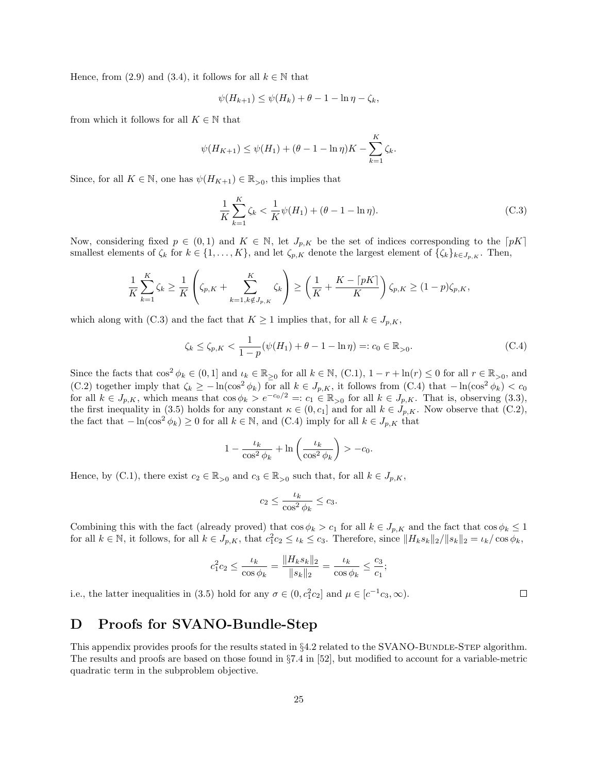Hence, from (2.9) and (3.4), it follows for all  $k \in \mathbb{N}$  that

$$
\psi(H_{k+1}) \le \psi(H_k) + \theta - 1 - \ln \eta - \zeta_k,
$$

from which it follows for all  $K \in \mathbb{N}$  that

$$
\psi(H_{K+1}) \leq \psi(H_1) + (\theta - 1 - \ln \eta)K - \sum_{k=1}^{K} \zeta_k.
$$

Since, for all  $K \in \mathbb{N}$ , one has  $\psi(H_{K+1}) \in \mathbb{R}_{>0}$ , this implies that

$$
\frac{1}{K} \sum_{k=1}^{K} \zeta_k < \frac{1}{K} \psi(H_1) + (\theta - 1 - \ln \eta). \tag{C.3}
$$

Now, considering fixed  $p \in (0,1)$  and  $K \in \mathbb{N}$ , let  $J_{p,K}$  be the set of indices corresponding to the  $\lceil pK \rceil$ smallest elements of  $\zeta_k$  for  $k \in \{1, \ldots, K\}$ , and let  $\zeta_{p,K}$  denote the largest element of  $\{\zeta_k\}_{k \in J_{p,K}}$ . Then,

$$
\frac{1}{K}\sum_{k=1}^K \zeta_k \ge \frac{1}{K}\left(\zeta_{p,K} + \sum_{k=1, k \notin J_{p,K}}^K \zeta_k\right) \ge \left(\frac{1}{K} + \frac{K - \lceil pK \rceil}{K}\right)\zeta_{p,K} \ge (1 - p)\zeta_{p,K},
$$

which along with (C.3) and the fact that  $K \geq 1$  implies that, for all  $k \in J_{p,K}$ ,

$$
\zeta_k \le \zeta_{p,K} < \frac{1}{1-p} (\psi(H_1) + \theta - 1 - \ln \eta) =: c_0 \in \mathbb{R}_{>0}.\tag{C.4}
$$

Since the facts that  $\cos^2 \phi_k \in (0,1]$  and  $\iota_k \in \mathbb{R}_{\geq 0}$  for all  $k \in \mathbb{N}$ ,  $(C.1)$ ,  $1 - r + \ln(r) \leq 0$  for all  $r \in \mathbb{R}_{> 0}$ , and (C.2) together imply that  $\zeta_k \ge -\ln(\cos^2 \phi_k)$  for all  $k \in J_{p,K}$ , it follows from (C.4) that  $-\ln(\cos^2 \phi_k) < c_0$ for all  $k \in J_{p,K}$ , which means that  $\cos \phi_k > e^{-c_0/2} =: c_1 \in \mathbb{R}_{>0}$  for all  $k \in J_{p,K}$ . That is, observing (3.3), the first inequality in (3.5) holds for any constant  $\kappa \in (0, c_1]$  and for all  $k \in J_{p,K}$ . Now observe that (C.2), the fact that  $-\ln(\cos^2 \phi_k) \ge 0$  for all  $k \in \mathbb{N}$ , and  $(C.4)$  imply for all  $k \in J_{p,K}$  that

$$
1 - \frac{\iota_k}{\cos^2 \phi_k} + \ln \left( \frac{\iota_k}{\cos^2 \phi_k} \right) > -c_0.
$$

Hence, by (C.1), there exist  $c_2 \in \mathbb{R}_{>0}$  and  $c_3 \in \mathbb{R}_{>0}$  such that, for all  $k \in J_{p,K}$ ,

$$
c_2 \le \frac{\iota_k}{\cos^2 \phi_k} \le c_3.
$$

Combining this with the fact (already proved) that  $\cos \phi_k > c_1$  for all  $k \in J_{p,K}$  and the fact that  $\cos \phi_k \leq 1$ for all  $k \in \mathbb{N}$ , it follows, for all  $k \in J_{p,K}$ , that  $c_1^2 c_2 \leq \iota_k \leq c_3$ . Therefore, since  $||H_k s_k||_2/||s_k||_2 = \iota_k/\cos \phi_k$ ,

$$
c_1^2 c_2 \le \frac{\iota_k}{\cos \phi_k} = \frac{\|H_k s_k\|_2}{\|s_k\|_2} = \frac{\iota_k}{\cos \phi_k} \le \frac{c_3}{c_1};
$$

i.e., the latter inequalities in (3.5) hold for any  $\sigma \in (0, c_1^2 c_2]$  and  $\mu \in [c^{-1}c_3, \infty)$ .

## D Proofs for SVANO-Bundle-Step

This appendix provides proofs for the results stated in  $\S 4.2$  related to the SVANO-BUNDLE-STEP algorithm. The results and proofs are based on those found in §7.4 in [52], but modified to account for a variable-metric quadratic term in the subproblem objective.

 $\Box$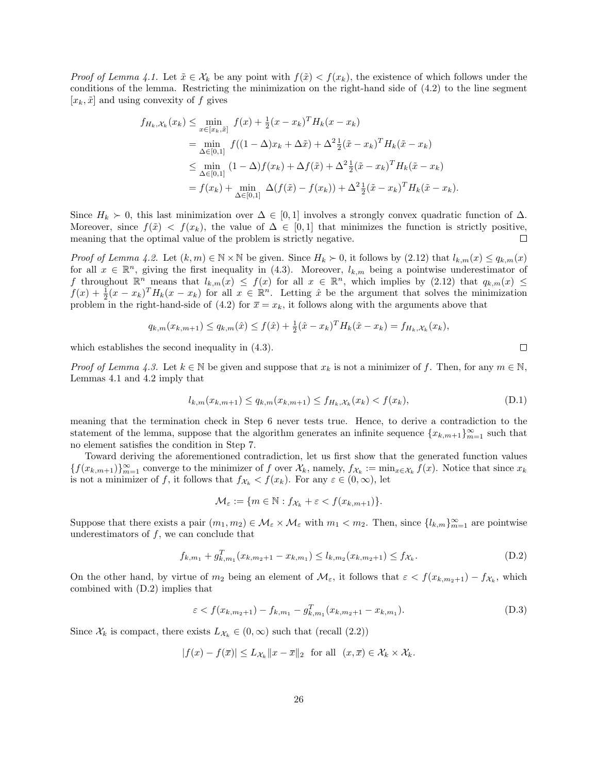*Proof of Lemma 4.1.* Let  $\tilde{x} \in \mathcal{X}_k$  be any point with  $f(\tilde{x}) < f(x_k)$ , the existence of which follows under the conditions of the lemma. Restricting the minimization on the right-hand side of (4.2) to the line segment  $[x_k, \tilde{x}]$  and using convexity of f gives

$$
f_{H_k, \mathcal{X}_k}(x_k) \le \min_{x \in [x_k, \tilde{x}]} f(x) + \frac{1}{2} (x - x_k)^T H_k(x - x_k)
$$
  
\n
$$
= \min_{\Delta \in [0,1]} f((1 - \Delta)x_k + \Delta \tilde{x}) + \Delta^2 \frac{1}{2} (\tilde{x} - x_k)^T H_k(\tilde{x} - x_k)
$$
  
\n
$$
\le \min_{\Delta \in [0,1]} (1 - \Delta) f(x_k) + \Delta f(\tilde{x}) + \Delta^2 \frac{1}{2} (\tilde{x} - x_k)^T H_k(\tilde{x} - x_k)
$$
  
\n
$$
= f(x_k) + \min_{\Delta \in [0,1]} \Delta(f(\tilde{x}) - f(x_k)) + \Delta^2 \frac{1}{2} (\tilde{x} - x_k)^T H_k(\tilde{x} - x_k).
$$

Since  $H_k \succ 0$ , this last minimization over  $\Delta \in [0, 1]$  involves a strongly convex quadratic function of  $\Delta$ . Moreover, since  $f(\tilde{x}) < f(x_k)$ , the value of  $\Delta \in [0,1]$  that minimizes the function is strictly positive, meaning that the optimal value of the problem is strictly negative.  $\Box$ 

Proof of Lemma 4.2. Let  $(k, m) \in \mathbb{N} \times \mathbb{N}$  be given. Since  $H_k \succ 0$ , it follows by  $(2.12)$  that  $l_{k,m}(x) \leq q_{k,m}(x)$ for all  $x \in \mathbb{R}^n$ , giving the first inequality in (4.3). Moreover,  $l_{k,m}$  being a pointwise underestimator of f throughout  $\mathbb{R}^n$  means that  $l_{k,m}(x) \leq f(x)$  for all  $x \in \mathbb{R}^n$ , which implies by  $(2.12)$  that  $q_{k,m}(x) \leq$  $f(x) + \frac{1}{2}(x - x_k)^T H_k(x - x_k)$  for all  $x \in \mathbb{R}^n$ . Letting  $\hat{x}$  be the argument that solves the minimization problem in the right-hand-side of (4.2) for  $\bar{x} = x_k$ , it follows along with the arguments above that

$$
q_{k,m}(x_{k,m+1}) \leq q_{k,m}(\hat{x}) \leq f(\hat{x}) + \frac{1}{2}(\hat{x} - x_k)^T H_k(\hat{x} - x_k) = f_{H_k, \mathcal{X}_k}(x_k),
$$

which establishes the second inequality in (4.3).

*Proof of Lemma 4.3.* Let  $k \in \mathbb{N}$  be given and suppose that  $x_k$  is not a minimizer of f. Then, for any  $m \in \mathbb{N}$ , Lemmas 4.1 and 4.2 imply that

$$
l_{k,m}(x_{k,m+1}) \le q_{k,m}(x_{k,m+1}) \le f_{H_k,\mathcal{X}_k}(x_k) < f(x_k),\tag{D.1}
$$

meaning that the termination check in Step 6 never tests true. Hence, to derive a contradiction to the statement of the lemma, suppose that the algorithm generates an infinite sequence  ${x_{k,m+1}}_{m=1}^{\infty}$  such that no element satisfies the condition in Step 7.

Toward deriving the aforementioned contradiction, let us first show that the generated function values  ${f(x_{k,m+1})}_{m=1}^{\infty}$  converge to the minimizer of f over  $\mathcal{X}_k$ , namely,  $f_{\mathcal{X}_k} := \min_{x \in \mathcal{X}_k} f(x)$ . Notice that since  $x_k$ is not a minimizer of f, it follows that  $f_{\mathcal{X}_k} < f(x_k)$ . For any  $\varepsilon \in (0, \infty)$ , let

$$
\mathcal{M}_{\varepsilon} := \{ m \in \mathbb{N} : f_{\mathcal{X}_k} + \varepsilon < f(x_{k,m+1}) \}.
$$

Suppose that there exists a pair  $(m_1, m_2) \in \mathcal{M}_{\varepsilon} \times \mathcal{M}_{\varepsilon}$  with  $m_1 < m_2$ . Then, since  $\{l_{k,m}\}_{m=1}^{\infty}$  are pointwise underestimators of  $f$ , we can conclude that

$$
f_{k,m_1} + g_{k,m_1}^T(x_{k,m_2+1} - x_{k,m_1}) \le l_{k,m_2}(x_{k,m_2+1}) \le f_{\mathcal{X}_k}.
$$
\n(D.2)

On the other hand, by virtue of  $m_2$  being an element of  $\mathcal{M}_{\varepsilon}$ , it follows that  $\varepsilon < f(x_{k,m_2+1}) - f_{\mathcal{X}_k}$ , which combined with (D.2) implies that

$$
\varepsilon < f(x_{k,m_2+1}) - f_{k,m_1} - g_{k,m_1}^T (x_{k,m_2+1} - x_{k,m_1}).
$$
\n(D.3)

Since  $\mathcal{X}_k$  is compact, there exists  $L_{\mathcal{X}_k} \in (0,\infty)$  such that (recall  $(2.2)$ )

$$
|f(x) - f(\overline{x})| \le L_{\mathcal{X}_k} ||x - \overline{x}||_2 \text{ for all } (x, \overline{x}) \in \mathcal{X}_k \times \mathcal{X}_k.
$$

 $\Box$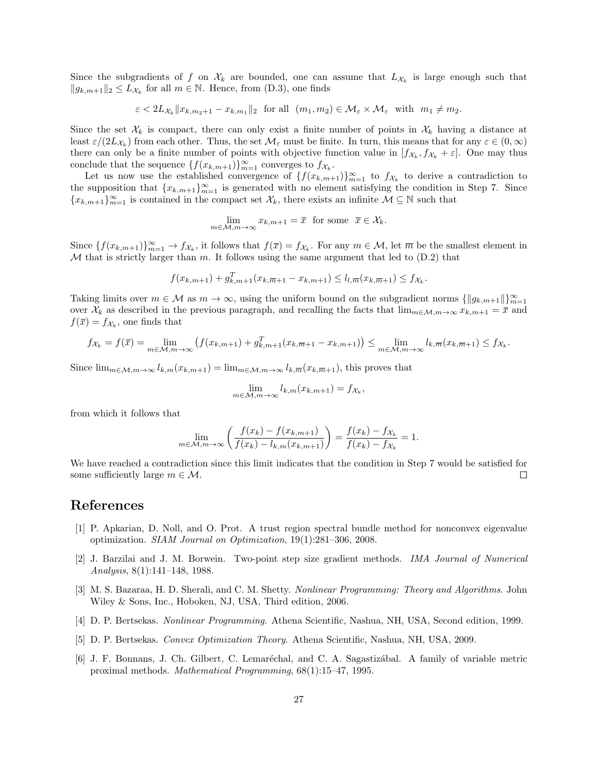Since the subgradients of f on  $\mathcal{X}_k$  are bounded, one can assume that  $L_{\mathcal{X}_k}$  is large enough such that  $||g_{k,m+1}||_2 \leq L_{\mathcal{X}_k}$  for all  $m \in \mathbb{N}$ . Hence, from  $(D.3)$ , one finds

 $\varepsilon < 2L_{\mathcal{X}_k} ||x_{k,m_2+1} - x_{k,m_1}||_2$  for all  $(m_1, m_2) \in \mathcal{M}_{\varepsilon} \times \mathcal{M}_{\varepsilon}$  with  $m_1 \neq m_2$ .

Since the set  $\mathcal{X}_k$  is compact, there can only exist a finite number of points in  $\mathcal{X}_k$  having a distance at least  $\varepsilon/(2L_{\mathcal{X}_k})$  from each other. Thus, the set  $\mathcal{M}_{\varepsilon}$  must be finite. In turn, this means that for any  $\varepsilon \in (0,\infty)$ there can only be a finite number of points with objective function value in  $[f_{\mathcal{X}_k}, f_{\mathcal{X}_k} + \varepsilon]$ . One may thus conclude that the sequence  $\{f(x_{k,m+1})\}_{m=1}^{\infty}$  converges to  $f_{\mathcal{X}_k}$ .

Let us now use the established convergence of  $\{f(x_{k,m+1})\}_{m=1}^{\infty}$  to  $f_{\mathcal{X}_k}$  to derive a contradiction to the supposition that  ${x_{k,m+1}}_{m=1}^{\infty}$  is generated with no element satisfying the condition in Step 7. Since  ${x_{k,m+1}}_{m=1}^{\infty}$  is contained in the compact set  $\mathcal{X}_k$ , there exists an infinite  $\mathcal{M} \subseteq \mathbb{N}$  such that

$$
\lim_{m \in \mathcal{M}, m \to \infty} x_{k,m+1} = \overline{x} \text{ for some } \overline{x} \in \mathcal{X}_k.
$$

Since  $\{f(x_{k,m+1})\}_{m=1}^{\infty} \to f_{\mathcal{X}_k}$ , it follows that  $f(\overline{x}) = f_{\mathcal{X}_k}$ . For any  $m \in \mathcal{M}$ , let  $\overline{m}$  be the smallest element in  $M$  that is strictly larger than  $m$ . It follows using the same argument that led to  $(D.2)$  that

$$
f(x_{k,m+1}) + g_{k,m+1}^T(x_{k,\overline{m}+1} - x_{k,m+1}) \le l_{l,\overline{m}}(x_{k,\overline{m}+1}) \le f_{\mathcal{X}_k}.
$$

Taking limits over  $m \in \mathcal{M}$  as  $m \to \infty$ , using the uniform bound on the subgradient norms  $\{\|g_{k,m+1}\|\}_{m=1}^{\infty}$ over  $\mathcal{X}_k$  as described in the previous paragraph, and recalling the facts that  $\lim_{m \in \mathcal{M}, m \to \infty} x_{k,m+1} = \overline{x}$  and  $f(\bar{x}) = f_{\mathcal{X}_k}$ , one finds that

$$
f_{\mathcal{X}_k} = f(\bar{x}) = \lim_{m \in \mathcal{M}, m \to \infty} \left( f(x_{k,m+1}) + g_{k,m+1}^T (x_{k,\overline{m}+1} - x_{k,m+1}) \right) \le \lim_{m \in \mathcal{M}, m \to \infty} l_{k,\overline{m}} (x_{k,\overline{m}+1}) \le f_{\mathcal{X}_k}.
$$

Since  $\lim_{m \in \mathcal{M}, m \to \infty} l_{k,m}(x_{k,m+1}) = \lim_{m \in \mathcal{M}, m \to \infty} l_{k,\overline{m}}(x_{k,\overline{m}+1}),$  this proves that

$$
\lim_{m \in \mathcal{M}, m \to \infty} l_{k,m}(x_{k,m+1}) = f_{\mathcal{X}_k},
$$

from which it follows that

$$
\lim_{m \in \mathcal{M}, m \to \infty} \left( \frac{f(x_k) - f(x_{k,m+1})}{f(x_k) - l_{k,m}(x_{k,m+1})} \right) = \frac{f(x_k) - f_{\mathcal{X}_k}}{f(x_k) - f_{\mathcal{X}_k}} = 1.
$$

We have reached a contradiction since this limit indicates that the condition in Step 7 would be satisfied for some sufficiently large  $m \in \mathcal{M}$ . □

### References

- [1] P. Apkarian, D. Noll, and O. Prot. A trust region spectral bundle method for nonconvex eigenvalue optimization. SIAM Journal on Optimization, 19(1):281–306, 2008.
- [2] J. Barzilai and J. M. Borwein. Two-point step size gradient methods. IMA Journal of Numerical Analysis, 8(1):141–148, 1988.
- [3] M. S. Bazaraa, H. D. Sherali, and C. M. Shetty. Nonlinear Programming: Theory and Algorithms. John Wiley & Sons, Inc., Hoboken, NJ, USA, Third edition, 2006.
- [4] D. P. Bertsekas. Nonlinear Programming. Athena Scientific, Nashua, NH, USA, Second edition, 1999.
- [5] D. P. Bertsekas. Convex Optimization Theory. Athena Scientific, Nashua, NH, USA, 2009.
- [6] J. F. Bonnans, J. Ch. Gilbert, C. Lemaréchal, and C. A. Sagastizábal. A family of variable metric proximal methods. Mathematical Programming, 68(1):15–47, 1995.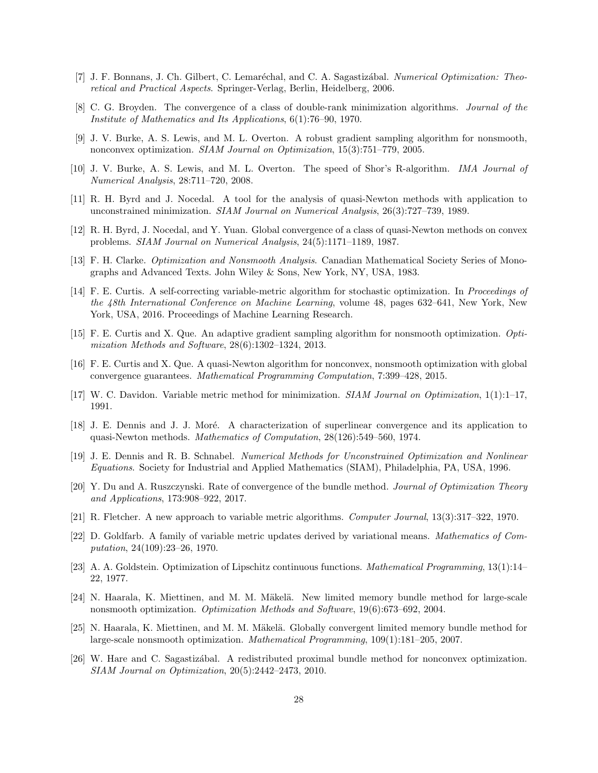- [7] J. F. Bonnans, J. Ch. Gilbert, C. Lemaréchal, and C. A. Sagastizábal. Numerical Optimization: Theoretical and Practical Aspects. Springer-Verlag, Berlin, Heidelberg, 2006.
- [8] C. G. Broyden. The convergence of a class of double-rank minimization algorithms. Journal of the Institute of Mathematics and Its Applications, 6(1):76–90, 1970.
- [9] J. V. Burke, A. S. Lewis, and M. L. Overton. A robust gradient sampling algorithm for nonsmooth, nonconvex optimization. SIAM Journal on Optimization, 15(3):751–779, 2005.
- [10] J. V. Burke, A. S. Lewis, and M. L. Overton. The speed of Shor's R-algorithm. IMA Journal of Numerical Analysis, 28:711–720, 2008.
- [11] R. H. Byrd and J. Nocedal. A tool for the analysis of quasi-Newton methods with application to unconstrained minimization. SIAM Journal on Numerical Analysis, 26(3):727–739, 1989.
- [12] R. H. Byrd, J. Nocedal, and Y. Yuan. Global convergence of a class of quasi-Newton methods on convex problems. SIAM Journal on Numerical Analysis, 24(5):1171–1189, 1987.
- [13] F. H. Clarke. Optimization and Nonsmooth Analysis. Canadian Mathematical Society Series of Monographs and Advanced Texts. John Wiley & Sons, New York, NY, USA, 1983.
- [14] F. E. Curtis. A self-correcting variable-metric algorithm for stochastic optimization. In Proceedings of the 48th International Conference on Machine Learning, volume 48, pages 632–641, New York, New York, USA, 2016. Proceedings of Machine Learning Research.
- [15] F. E. Curtis and X. Que. An adaptive gradient sampling algorithm for nonsmooth optimization. Optimization Methods and Software, 28(6):1302–1324, 2013.
- [16] F. E. Curtis and X. Que. A quasi-Newton algorithm for nonconvex, nonsmooth optimization with global convergence guarantees. Mathematical Programming Computation, 7:399–428, 2015.
- [17] W. C. Davidon. Variable metric method for minimization. SIAM Journal on Optimization, 1(1):1–17, 1991.
- [18] J. E. Dennis and J. J. Moré. A characterization of superlinear convergence and its application to quasi-Newton methods. Mathematics of Computation, 28(126):549–560, 1974.
- [19] J. E. Dennis and R. B. Schnabel. Numerical Methods for Unconstrained Optimization and Nonlinear Equations. Society for Industrial and Applied Mathematics (SIAM), Philadelphia, PA, USA, 1996.
- [20] Y. Du and A. Ruszczynski. Rate of convergence of the bundle method. Journal of Optimization Theory and Applications, 173:908–922, 2017.
- [21] R. Fletcher. A new approach to variable metric algorithms. Computer Journal, 13(3):317–322, 1970.
- [22] D. Goldfarb. A family of variable metric updates derived by variational means. Mathematics of Computation, 24(109):23–26, 1970.
- [23] A. A. Goldstein. Optimization of Lipschitz continuous functions. Mathematical Programming, 13(1):14– 22, 1977.
- [24] N. Haarala, K. Miettinen, and M. M. Mäkelä. New limited memory bundle method for large-scale nonsmooth optimization. Optimization Methods and Software, 19(6):673–692, 2004.
- [25] N. Haarala, K. Miettinen, and M. M. Mäkelä. Globally convergent limited memory bundle method for large-scale nonsmooth optimization. Mathematical Programming, 109(1):181–205, 2007.
- [26] W. Hare and C. Sagastizábal. A redistributed proximal bundle method for nonconvex optimization. SIAM Journal on Optimization, 20(5):2442–2473, 2010.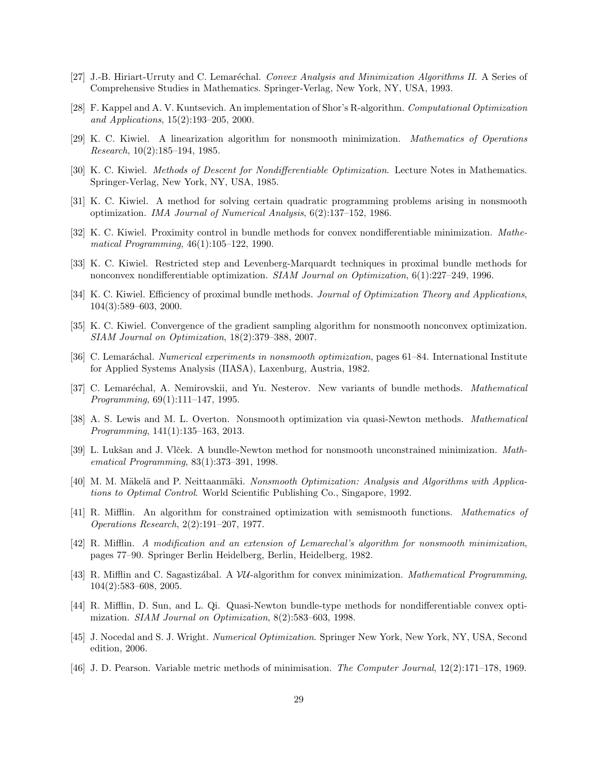- [27] J.-B. Hiriart-Urruty and C. Lemaréchal. Convex Analysis and Minimization Algorithms II. A Series of Comprehensive Studies in Mathematics. Springer-Verlag, New York, NY, USA, 1993.
- [28] F. Kappel and A. V. Kuntsevich. An implementation of Shor's R-algorithm. Computational Optimization and Applications, 15(2):193–205, 2000.
- [29] K. C. Kiwiel. A linearization algorithm for nonsmooth minimization. Mathematics of Operations Research, 10(2):185–194, 1985.
- [30] K. C. Kiwiel. Methods of Descent for Nondifferentiable Optimization. Lecture Notes in Mathematics. Springer-Verlag, New York, NY, USA, 1985.
- [31] K. C. Kiwiel. A method for solving certain quadratic programming problems arising in nonsmooth optimization. IMA Journal of Numerical Analysis, 6(2):137–152, 1986.
- [32] K. C. Kiwiel. Proximity control in bundle methods for convex nondifferentiable minimization. Mathematical Programming, 46(1):105–122, 1990.
- [33] K. C. Kiwiel. Restricted step and Levenberg-Marquardt techniques in proximal bundle methods for nonconvex nondifferentiable optimization. SIAM Journal on Optimization, 6(1):227–249, 1996.
- [34] K. C. Kiwiel. Efficiency of proximal bundle methods. Journal of Optimization Theory and Applications, 104(3):589–603, 2000.
- [35] K. C. Kiwiel. Convergence of the gradient sampling algorithm for nonsmooth nonconvex optimization. SIAM Journal on Optimization, 18(2):379–388, 2007.
- [36] C. Lemaráchal. *Numerical experiments in nonsmooth optimization*, pages 61–84. International Institute for Applied Systems Analysis (IIASA), Laxenburg, Austria, 1982.
- [37] C. Lemaréchal, A. Nemirovskii, and Yu. Nesterov. New variants of bundle methods. *Mathematical* Programming, 69(1):111–147, 1995.
- [38] A. S. Lewis and M. L. Overton. Nonsmooth optimization via quasi-Newton methods. Mathematical Programming, 141(1):135–163, 2013.
- [39] L. Lukšan and J. Vlček. A bundle-Newton method for nonsmooth unconstrained minimization. Mathematical Programming, 83(1):373–391, 1998.
- [40] M. M. Mäkelä and P. Neittaanmäki. Nonsmooth Optimization: Analysis and Algorithms with Applications to Optimal Control. World Scientific Publishing Co., Singapore, 1992.
- [41] R. Mifflin. An algorithm for constrained optimization with semismooth functions. Mathematics of Operations Research, 2(2):191–207, 1977.
- [42] R. Mifflin. A modification and an extension of Lemarechal's algorithm for nonsmooth minimization, pages 77–90. Springer Berlin Heidelberg, Berlin, Heidelberg, 1982.
- [43] R. Mifflin and C. Sagastizábal. A VU-algorithm for convex minimization. Mathematical Programming, 104(2):583–608, 2005.
- [44] R. Mifflin, D. Sun, and L. Qi. Quasi-Newton bundle-type methods for nondifferentiable convex optimization. SIAM Journal on Optimization, 8(2):583–603, 1998.
- [45] J. Nocedal and S. J. Wright. Numerical Optimization. Springer New York, New York, NY, USA, Second edition, 2006.
- [46] J. D. Pearson. Variable metric methods of minimisation. The Computer Journal, 12(2):171–178, 1969.